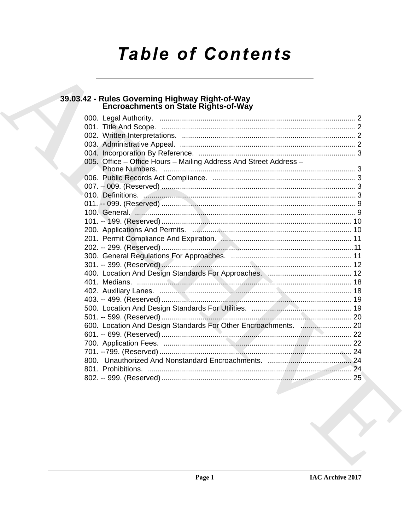# **Table of Contents**

# 39.03.42 - Rules Governing Highway Right-of-Way<br>Encroachments on State Rights-of-Way

| 005. Office - Office Hours - Mailing Address And Street Address - |  |
|-------------------------------------------------------------------|--|
|                                                                   |  |
|                                                                   |  |
|                                                                   |  |
|                                                                   |  |
|                                                                   |  |
|                                                                   |  |
|                                                                   |  |
|                                                                   |  |
|                                                                   |  |
|                                                                   |  |
|                                                                   |  |
|                                                                   |  |
|                                                                   |  |
|                                                                   |  |
|                                                                   |  |
|                                                                   |  |
|                                                                   |  |
|                                                                   |  |
| 600. Location And Design Standards For Other Encroachments.  20   |  |
|                                                                   |  |
|                                                                   |  |
|                                                                   |  |
|                                                                   |  |
|                                                                   |  |
|                                                                   |  |
|                                                                   |  |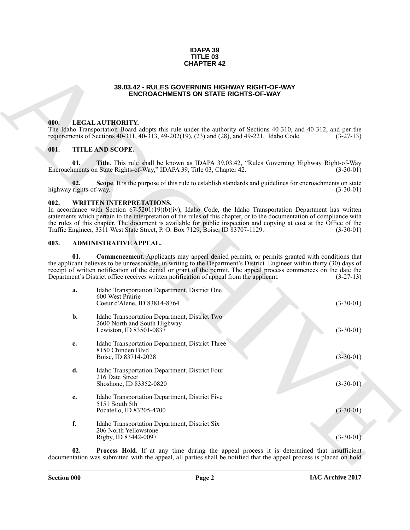#### **IDAPA 39 TITLE 03 CHAPTER 42**

### **39.03.42 - RULES GOVERNING HIGHWAY RIGHT-OF-WAY ENCROACHMENTS ON STATE RIGHTS-OF-WAY**

### <span id="page-1-1"></span><span id="page-1-0"></span>**000. LEGAL AUTHORITY.**

### <span id="page-1-2"></span>**001. TITLE AND SCOPE.**

### <span id="page-1-3"></span>**002. WRITTEN INTERPRETATIONS.**

# <span id="page-1-7"></span><span id="page-1-6"></span><span id="page-1-5"></span><span id="page-1-4"></span>**003. ADMINISTRATIVE APPEAL.**

|                               | <b>CHAPTER 42</b>                                                                                                                                                                                                                                                                                                                                                                                                                                                                     |             |  |  |  |
|-------------------------------|---------------------------------------------------------------------------------------------------------------------------------------------------------------------------------------------------------------------------------------------------------------------------------------------------------------------------------------------------------------------------------------------------------------------------------------------------------------------------------------|-------------|--|--|--|
|                               | 39.03.42 - RULES GOVERNING HIGHWAY RIGHT-OF-WAY<br><b>ENCROACHMENTS ON STATE RIGHTS-OF-WAY</b>                                                                                                                                                                                                                                                                                                                                                                                        |             |  |  |  |
| 000.                          | LEGAL AUTHORITY.<br>The Idaho Transportation Board adopts this rule under the authority of Sections 40-310, and 40-312, and per the<br>requirements of Sections 40-311, 40-313, 49-202(19), (23) and (28), and 49-221, Idaho Code.                                                                                                                                                                                                                                                    | $(3-27-13)$ |  |  |  |
| 001.                          | TITLE AND SCOPE.                                                                                                                                                                                                                                                                                                                                                                                                                                                                      |             |  |  |  |
| 01.                           | Title. This rule shall be known as IDAPA 39.03.42, "Rules Governing Highway Right-of-Way<br>Encroachments on State Rights-of-Way," IDAPA 39, Title 03, Chapter 42.                                                                                                                                                                                                                                                                                                                    | $(3-30-01)$ |  |  |  |
| 02.<br>highway rights-of-way. | Scope. It is the purpose of this rule to establish standards and guidelines for encroachments on state                                                                                                                                                                                                                                                                                                                                                                                | $(3-30-01)$ |  |  |  |
| 002.                          | <b>WRITTEN INTERPRETATIONS.</b><br>In accordance with Section $67-5201(19)(b)(iv)$ , Idaho Code, the Idaho Transportation Department has written<br>statements which pertain to the interpretation of the rules of this chapter, or to the documentation of compliance with<br>the rules of this chapter. The document is available for public inspection and copying at cost at the Office of the<br>Traffic Engineer, 3311 West State Street, P. O. Box 7129, Boise, ID 83707-1129. | $(3-30-01)$ |  |  |  |
| 003.                          | ADMINISTRATIVE APPEAL.                                                                                                                                                                                                                                                                                                                                                                                                                                                                |             |  |  |  |
| 01.                           | <b>Commencement</b> . Applicants may appeal denied permits, or permits granted with conditions that<br>the applicant believes to be unreasonable, in writing to the Department's District Engineer within thirty (30) days of<br>receipt of written notification of the denial or grant of the permit. The appeal process commences on the date the<br>Department's District office receives written notification of appeal from the applicant.                                       | $(3-27-13)$ |  |  |  |
| a.                            | Idaho Transportation Department, District One<br>600 West Prairie<br>Coeur d'Alene, ID 83814-8764                                                                                                                                                                                                                                                                                                                                                                                     | $(3-30-01)$ |  |  |  |
| b.                            | Idaho Transportation Department, District Two<br>2600 North and South Highway<br>Lewiston, ID 83501-0837                                                                                                                                                                                                                                                                                                                                                                              | $(3-30-01)$ |  |  |  |
| c.                            | Idaho Transportation Department, District Three<br>8150 Chinden Blvd<br>Boise, ID 83714-2028                                                                                                                                                                                                                                                                                                                                                                                          | $(3-30-01)$ |  |  |  |
| d.                            | Idaho Transportation Department, District Four<br>216 Date Street<br>Shoshone, ID 83352-0820                                                                                                                                                                                                                                                                                                                                                                                          | $(3-30-01)$ |  |  |  |
| e.                            | Idaho Transportation Department, District Five<br>5151 South 5th<br>Pocatello, ID 83205-4700                                                                                                                                                                                                                                                                                                                                                                                          | $(3-30-01)$ |  |  |  |
| f.                            | Idaho Transportation Department, District Six<br>206 North Yellowstone<br>Rigby, ID 83442-0097                                                                                                                                                                                                                                                                                                                                                                                        | $(3-30-01)$ |  |  |  |
| 02.                           | Process Hold. If at any time during the appeal process it is determined that insufficient<br>documentation was submitted with the appeal, all parties shall be notified that the appeal process is placed on hold                                                                                                                                                                                                                                                                     |             |  |  |  |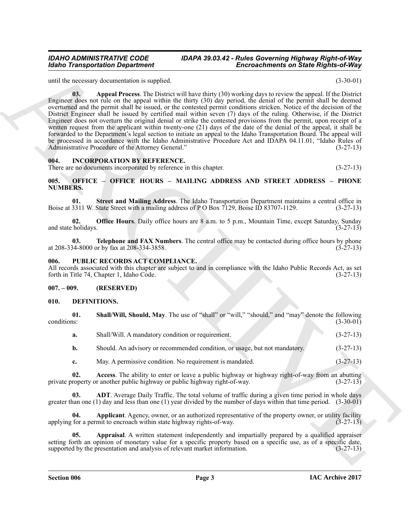<span id="page-2-5"></span>until the necessary documentation is supplied. (3-30-01)

**Enconceration Department and Superior Control in the Control of the Control of the Control of the Control of the Control of the Control of the Control of the Control of the Control of the Control of the Control of the C 03. Appeal Process**. The District will have thirty (30) working days to review the appeal. If the District Engineer does not rule on the appeal within the thirty (30) day period, the denial of the permit shall be deemed overturned and the permit shall be issued, or the contested permit conditions stricken. Notice of the decision of the District Engineer shall be issued by certified mail within seven (7) days of the ruling. Otherwise, if the District Engineer does not overturn the original denial or strike the contested provisions from the permit, upon receipt of a written request from the applicant within twenty-one (21) days of the date of the denial of the appeal, it shall be forwarded to the Department's legal section to initiate an appeal to the Idaho Transportation Board. The appeal will be processed in accordance with the Idaho Administrative Procedure Act and IDAPA 04.11.01, "Idaho Rules of Administrative Procedure of the Attorney General." (3-27-13) Administrative Procedure of the Attorney General."

#### <span id="page-2-0"></span>**004. INCORPORATION BY REFERENCE.**

There are no documents incorporated by reference in this chapter. (3-27-13)

### <span id="page-2-1"></span>**005. OFFICE – OFFICE HOURS – MAILING ADDRESS AND STREET ADDRESS – PHONE NUMBERS.**

**01. Street and Mailing Address**. The Idaho Transportation Department maintains a central office in 3311 W. State Street with a mailing address of P O Box 7129. Boise ID 83707-1129. (3-27-13) Boise at 3311 W. State Street with a mailing address of P O Box 7129, Boise ID 83707-1129.

**02. Office Hours**. Daily office hours are 8 a.m. to 5 p.m., Mountain Time, except Saturday, Sunday holidays. (3-27-13) and state holidays.

**03. Telephone and FAX Numbers**. The central office may be contacted during office hours by phone  $34-8000$  or by fax at 208-334-3858. at 208-334-8000 or by fax at 208-334-3858.

### <span id="page-2-12"></span><span id="page-2-2"></span>**006. PUBLIC RECORDS ACT COMPLIANCE.**

All records associated with this chapter are subject to and in compliance with the Idaho Public Records Act, as set forth in Title 74, Chapter 1, Idaho Code. (3-27-13) forth in Title 74, Chapter 1, Idaho Code.

### <span id="page-2-3"></span>**007. – 009. (RESERVED)**

### <span id="page-2-6"></span><span id="page-2-4"></span>**010. DEFINITIONS.**

**01.** Shall/Will, Should, May. The use of "shall" or "will," "should," and "may" denote the following conditions: conditions: (3-30-01)

<span id="page-2-11"></span>

| а. | Shall/Will. A mandatory condition or requirement.                          | $(3-27-13)$ |
|----|----------------------------------------------------------------------------|-------------|
|    | Should. An advisory or recommended condition, or usage, but not mandatory. | $(3-27-13)$ |

<span id="page-2-8"></span><span id="page-2-7"></span>**c.** May. A permissive condition. No requirement is mandated.  $(3-27-13)$ 

**02.** Access. The ability to enter or leave a public highway or highway right-of-way from an abutting roperty or another public highway or public highway right-of-way. (3-27-13) private property or another public highway or public highway right-of-way.

**ADT**. Average Daily Traffic. The total volume of traffic during a given time period in whole days greater than one  $(1)$  day and less than one  $(1)$  year divided by the number of days within that time period.  $(3-30-01)$ 

<span id="page-2-9"></span>**04. Applicant**. Agency, owner, or an authorized representative of the property owner, or utility facility applying for a permit to encroach within state highway rights-of-way. (3-27-13)

<span id="page-2-10"></span>**05. Appraisal**. A written statement independently and impartially prepared by a qualified appraiser setting forth an opinion of monetary value for a specific property based on a specific use, as of a specific date, supported by the presentation and analysis of relevant market information. (3-27-13) supported by the presentation and analysis of relevant market information.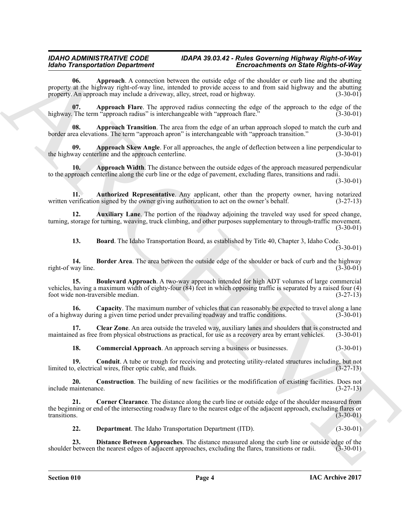**EXAMPLE CONTINUOS CONSULTER ASSOCIATE AND CONSULTER CONSULTER CONSULTER (EXAMPLE CONSULTER CONSULTER CONSULTER CONSULTER CONSULTER (EXAMPLE CONSULTER CONSULTER CONSULTER CONSULTER CONSULTER (EXAMPLE CONSULTER CONSULTER 06. Approach**. A connection between the outside edge of the shoulder or curb line and the abutting property at the highway right-of-way line, intended to provide access to and from said highway and the abutting<br>property. An approach may include a driveway, alley, street, road or highway. (3-30-01) property. An approach may include a driveway, alley, street, road or highway.

<span id="page-3-1"></span><span id="page-3-0"></span>**07. Approach Flare**. The approved radius connecting the edge of the approach to the edge of the highway. The term "approach radius" is interchangeable with "approach flare." (3-30-01)

<span id="page-3-3"></span>**Approach Transition**. The area from the edge of an urban approach sloped to match the curb and ions. The term "approach apron" is interchangeable with "approach transition." (3-30-01) border area elevations. The term "approach apron" is interchangeable with "approach transition."

<span id="page-3-2"></span>**09. Approach Skew Angle**. For all approaches, the angle of deflection between a line perpendicular to way centerline and the approach centerline. (3-30-01) the highway centerline and the approach centerline.

<span id="page-3-4"></span>**10. Approach Width**. The distance between the outside edges of the approach measured perpendicular to the approach centerline along the curb line or the edge of pavement, excluding flares, transitions and radii.

(3-30-01)

<span id="page-3-5"></span>**11. Authorized Representative**. Any applicant, other than the property owner, having notarized written verification signed by the owner giving authorization to act on the owner's behalf. (3-27-13)

**12. Auxiliary Lane**. The portion of the roadway adjoining the traveled way used for speed change, turning, storage for turning, weaving, truck climbing, and other purposes supplementary to through-traffic movement. (3-30-01)

<span id="page-3-9"></span><span id="page-3-8"></span><span id="page-3-7"></span><span id="page-3-6"></span>**13. Board**. The Idaho Transportation Board, as established by Title 40, Chapter 3, Idaho Code. (3-30-01)

**14. Border Area**. The area between the outside edge of the shoulder or back of curb and the highway line. (3-30-01) right-of way line.

**15. Boulevard Approach**. A two-way approach intended for high ADT volumes of large commercial vehicles, having a maximum width of eighty-four (84) feet in which opposing traffic is separated by a raised four (4) foot wide non-traversible median. (3-27-13)

<span id="page-3-10"></span>**16.** Capacity. The maximum number of vehicles that can reasonably be expected to travel along a lane way during a given time period under prevailing roadway and traffic conditions. (3-30-01) of a highway during a given time period under prevailing roadway and traffic conditions.

**17.** Clear Zone. An area outside the traveled way, auxiliary lanes and shoulders that is constructed and maintained as free from physical obstructions as practical, for use as a recovery area by errant vehicles. (3-30-01)

<span id="page-3-14"></span><span id="page-3-13"></span><span id="page-3-12"></span><span id="page-3-11"></span>**18. Commercial Approach**. An approach serving a business or businesses. (3-30-01)

**19. Conduit**. A tube or trough for receiving and protecting utility-related structures including, but not b, electrical wires, fiber optic cable, and fluids. (3-27-13) limited to, electrical wires, fiber optic cable, and fluids.

**20. Construction**. The building of new facilities or the modifitication of existing facilities. Does not naintenance.  $(3-27-13)$ include maintenance.

**21. Corner Clearance**. The distance along the curb line or outside edge of the shoulder measured from the beginning or end of the intersecting roadway flare to the nearest edge of the adjacent approach, excluding flares or<br>(3-30-01) transitions. (3-30-01)

<span id="page-3-17"></span><span id="page-3-16"></span><span id="page-3-15"></span>**22. Department**. The Idaho Transportation Department (ITD). (3-30-01)

**23. Distance Between Approaches**. The distance measured along the curb line or outside edge of the between the nearest edges of adjacent approaches, excluding the flares, transitions or radii. (3-30-01) shoulder between the nearest edges of adjacent approaches, excluding the flares, transitions or radii.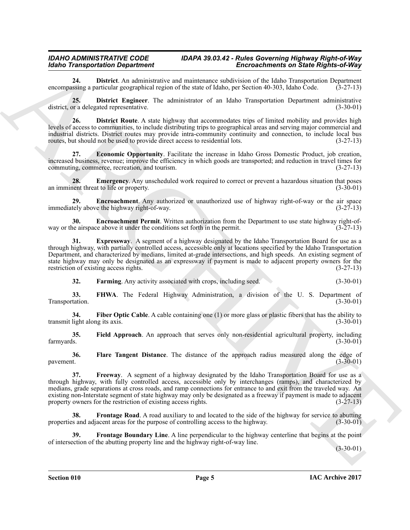<span id="page-4-0"></span>**24. District**. An administrative and maintenance subdivision of the Idaho Transportation Department ssing a particular geographical region of the state of Idaho, per Section 40-303, Idaho Code. (3-27-13) encompassing a particular geographical region of the state of Idaho, per Section 40-303, Idaho Code.

<span id="page-4-1"></span>**25. District Engineer**. The administrator of an Idaho Transportation Department administrative district, or a delegated representative. (3-30-01)

<span id="page-4-2"></span>26. **District Route**. A state highway that accommodates trips of limited mobility and provides high levels of access to communities, to include distributing trips to geographical areas and serving major commercial and industrial districts. District routes may provide intra-community continuity and connection, to include local bus routes, but should not be used to provide direct access to residential lots. (3-27-13)

<span id="page-4-3"></span>**27. Economic Opportunity**. Facilitate the increase in Idaho Gross Domestic Product, job creation, increased business, revenue; improve the efficiency in which goods are transported; and reduction in travel times for commuting, commerce, recreation, and tourism.  $(3-27-13)$ commuting, commerce, recreation, and tourism.

<span id="page-4-4"></span>**28. Emergency**. Any unscheduled work required to correct or prevent a hazardous situation that poses nent threat to life or property. (3-30-01) an imminent threat to life or property.

<span id="page-4-5"></span>**29. Encroachment**. Any authorized or unauthorized use of highway right-of-way or the air space tely above the highway right-of-way. (3-27-13) immediately above the highway right-of-way.

<span id="page-4-6"></span>**30. Encroachment Permit**. Written authorization from the Department to use state highway right-of-<br>in the permit. (3-27-13) way or the airspace above it under the conditions set forth in the permit.

<span id="page-4-14"></span>**31. Expressway**. A segment of a highway designated by the Idaho Transportation Board for use as a through highway, with partially controlled access, accessible only at locations specified by the Idaho Transportation Department, and characterized by medians, limited at-grade intersections, and high speeds. An existing segment of state highway may only be designated as an expressway if payment is made to adjacent property owners for the restriction of existing access rights. (3-27-13) restriction of existing access rights.

<span id="page-4-9"></span><span id="page-4-8"></span><span id="page-4-7"></span>**32.** Farming Any activity associated with crops, including seed. (3-30-01)

**33. FHWA**. The Federal Highway Administration, a division of the U. S. Department of Transportation. (3-30-01)

**34.** Fiber Optic Cable. A cable containing one (1) or more glass or plastic fibers that has the ability to transmit light along its axis. (3-30-01)

<span id="page-4-10"></span>**35.** Field Approach. An approach that serves only non-residential agricultural property, including farmyards.  $(3-30-01)$ farmyards. (3-30-01)

<span id="page-4-11"></span>**36. Flare Tangent Distance**. The distance of the approach radius measured along the edge of  $p$ avement.  $(3-30-01)$ 

**Example of the system of the system of the system of the system of the system of the system of the system of the system of the system of the system of the system of the system of the system of the system of the system o 37. Freeway**. A segment of a highway designated by the Idaho Transportation Board for use as a through highway, with fully controlled access, accessible only by interchanges (ramps), and characterized by medians, grade separations at cross roads, and ramp connections for entrance to and exit from the traveled way. An existing non-Interstate segment of state highway may only be designated as a freeway if payment is made to adjacent property owners for the restriction of existing access rights. (3-27-13)

<span id="page-4-13"></span>**38.** Frontage Road. A road auxiliary to and located to the side of the highway for service to abutting properties and adjacent areas for the purpose of controlling access to the highway. (3-30-01)

<span id="page-4-12"></span>**39. Frontage Boundary Line**. A line perpendicular to the highway centerline that begins at the point of intersection of the abutting property line and the highway right-of-way line.

 $(3-30-01)$ 

**Section 010 Page 5**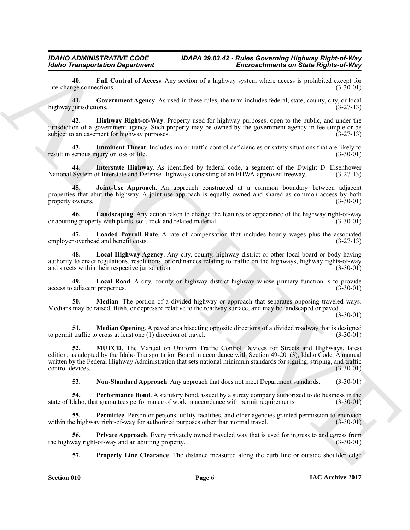<span id="page-5-0"></span>**40. Full Control of Access**. Any section of a highway system where access is prohibited except for interchange connections.

<span id="page-5-1"></span>**41. Government Agency**. As used in these rules, the term includes federal, state, county, city, or local highway jurisdictions. (3-27-13)

<span id="page-5-2"></span>**42. Highway Right-of-Way**. Property used for highway purposes, open to the public, and under the jurisdiction of a government agency. Such property may be owned by the government agency in fee simple or be subject to an easement for highway purposes. (3-27-13)

<span id="page-5-17"></span>**43.** Imminent Threat. Includes major traffic control deficiencies or safety situations that are likely to serious injury or loss of life. (3-30-01) result in serious injury or loss of life.

<span id="page-5-3"></span>**44. Interstate Highway**. As identified by federal code, a segment of the Dwight D. Eisenhower National System of Interstate and Defense Highways consisting of an FHWA-approved freeway. (3-27-13)

<span id="page-5-4"></span>**45. Joint-Use Approach**. An approach constructed at a common boundary between adjacent properties that abut the highway. A joint-use approach is equally owned and shared as common access by both property owners. (3-30-01) property owners.

<span id="page-5-5"></span>**46. Landscaping**. Any action taken to change the features or appearance of the highway right-of-way or abutting property with plants, soil, rock and related material.

<span id="page-5-6"></span>**47. Loaded Payroll Rate**. A rate of compensation that includes hourly wages plus the associated employer overhead and benefit costs.

<span id="page-5-7"></span>**48. Local Highway Agency**. Any city, county, highway district or other local board or body having authority to enact regulations, resolutions, or ordinances relating to traffic on the highways, highway rights-of-way and streets within their respective jurisdiction.

<span id="page-5-8"></span>**49. Local Road**. A city, county or highway district highway whose primary function is to provide access to adjacent properties.

<span id="page-5-9"></span>**50. Median**. The portion of a divided highway or approach that separates opposing traveled ways. Medians may be raised, flush, or depressed relative to the roadway surface, and may be landscaped or paved.

(3-30-01)

<span id="page-5-10"></span>**51. Median Opening**. A paved area bisecting opposite directions of a divided roadway that is designed traffic to cross at least one (1) direction of travel. (3-30-01) to permit traffic to cross at least one  $(1)$  direction of travel.

Scale Transportation Department<br>
Encore being the state of since the state of since the state of since the state of since  $\theta$  and<br>
Highest Rights Court must Agency. As a set of the state of since the system where the sta **52. MUTCD**. The Manual on Uniform Traffic Control Devices for Streets and Highways, latest edition, as adopted by the Idaho Transportation Board in accordance with Section 49-201(3), Idaho Code. A manual written by the Federal Highway Administration that sets national minimum standards for signing, striping, and traffic control devices. (3-30-01) control devices.

<span id="page-5-14"></span><span id="page-5-13"></span><span id="page-5-12"></span><span id="page-5-11"></span>**53.** Non-Standard Approach. Any approach that does not meet Department standards. (3-30-01)

**54. Performance Bond**. A statutory bond, issued by a surety company authorized to do business in the daho, that guarantees performance of work in accordance with permit requirements. (3-30-01) state of Idaho, that guarantees performance of work in accordance with permit requirements.

**55.** Permittee. Person or persons, utility facilities, and other agencies granted permission to encroach within the highway right-of-way for authorized purposes other than normal travel. (3-30-01)

**56. Private Approach**. Every privately owned traveled way that is used for ingress to and egress from way right-of-way and an abutting property. the highway right-of-way and an abutting property.

<span id="page-5-16"></span><span id="page-5-15"></span>**57. Property Line Clearance**. The distance measured along the curb line or outside shoulder edge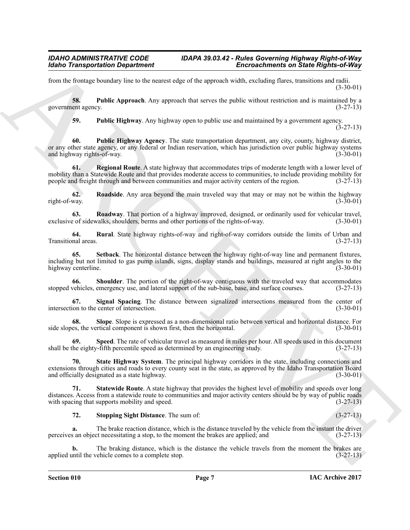from the frontage boundary line to the nearest edge of the approach width, excluding flares, transitions and radii. (3-30-01)

**58. Public Approach**. Any approach that serves the public without restriction and is maintained by a government agency. (3-27-13)

<span id="page-6-3"></span><span id="page-6-2"></span><span id="page-6-1"></span><span id="page-6-0"></span>**59. Public Highway**. Any highway open to public use and maintained by a government agency.  $(3-27-13)$ 

**Encore Transportation Department control in the CE-10 control the Encore Construction B Encore Construction B<br>
Every method, and the CE-10 construction and the CE-10 construction and the CE-10 construction B and CE-10 c 60. Public Highway Agency**. The state transportation department, any city, county, highway district, or any other state agency, or any federal or Indian reservation, which has jurisdiction over public highway systems and highway rights-of-way. (3-30-01) and highway rights-of-way.

**Regional Route**. A state highway that accommodates trips of moderate length with a lower level of mobility than a Statewide Route and that provides moderate access to communities, to include providing mobility for people and freight through and between communities and major activity centers of the region. (3-27-13)

<span id="page-6-4"></span>**62. Roadside**. Any area beyond the main traveled way that may or may not be within the highway right-of-way. (3-30-01)

<span id="page-6-5"></span>**63. Roadway**. That portion of a highway improved, designed, or ordinarily used for vehicular travel, e of sidewalks, shoulders, berms and other portions of the rights-of-way. (3-30-01) exclusive of sidewalks, shoulders, berms and other portions of the rights-of-way.

<span id="page-6-6"></span>**64.** Rural. State highway rights-of-way and right-of-way corridors outside the limits of Urban and nnal areas. (3-27-13) Transitional areas.

<span id="page-6-7"></span>**65. Setback**. The horizontal distance between the highway right-of-way line and permanent fixtures, including but not limited to gas pump islands, signs, display stands and buildings, measured at right angles to the highway centerline.

<span id="page-6-8"></span>**66.** Shoulder. The portion of the right-of-way contiguous with the traveled way that accommodates vehicles, emergency use, and lateral support of the sub-base, base, and surface courses. (3-27-13) stopped vehicles, emergency use, and lateral support of the sub-base, base, and surface courses.

<span id="page-6-9"></span>**67.** Signal Spacing. The distance between signalized intersections measured from the center of intersection. (3-30-01) intersection to the center of intersection.

<span id="page-6-10"></span>**68.** Slope. Slope is expressed as a non-dimensional ratio between vertical and horizontal distance. For es, the vertical component is shown first, then the horizontal. (3-30-01) side slopes, the vertical component is shown first, then the horizontal.

<span id="page-6-11"></span>**69.** Speed. The rate of vehicular travel as measured in miles per hour. All speeds used in this document he eighty-fifth percentile speed as determined by an engineering study.  $(3-27-13)$ shall be the eighty-fifth percentile speed as determined by an engineering study.

<span id="page-6-12"></span>**70. State Highway System**. The principal highway corridors in the state, including connections and extensions through cities and roads to every county seat in the state, as approved by the Idaho Transportation Board<br>(3-30-01) (3-30-01) and officially designated as a state highway.

**71. Statewide Route**. A state highway that provides the highest level of mobility and speeds over long distances. Access from a statewide route to communities and major activity centers should be by way of public roads with spacing that supports mobility and speed. (3-27-13) with spacing that supports mobility and speed.

# <span id="page-6-14"></span><span id="page-6-13"></span>**72. Stopping Sight Distance**. The sum of: (3-27-13)

**a.** The brake reaction distance, which is the distance traveled by the vehicle from the instant the driver perceives an object necessitating a stop, to the moment the brakes are applied; and (3-27-13)

The braking distance, which is the distance the vehicle travels from the moment the brakes are vehicle comes to a complete stop.  $(3-27-13)$ applied until the vehicle comes to a complete stop.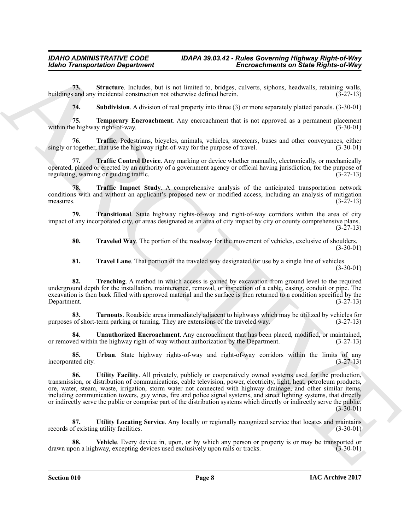**73.** Structure. Includes, but is not limited to, bridges, culverts, siphons, headwalls, retaining walls, and any incidental construction not otherwise defined herein. (3-27-13) buildings and any incidental construction not otherwise defined herein.

<span id="page-7-3"></span><span id="page-7-2"></span><span id="page-7-1"></span><span id="page-7-0"></span>**74. Subdivision**. A division of real property into three (3) or more separately platted parcels. (3-30-01)

**75. Temporary Encroachment**. Any encroachment that is not approved as a permanent placement e highway right-of-way. within the highway right-of-way.

**76. Traffic**. Pedestrians, bicycles, animals, vehicles, streetcars, buses and other conveyances, either singly or together, that use the highway right-of-way for the purpose of travel. (3-30-01)

<span id="page-7-4"></span>**77. Traffic Control Device**. Any marking or device whether manually, electronically, or mechanically operated, placed or erected by an authority of a government agency or official having jurisdiction, for the purpose of regulating, warning or guiding traffic. (3-27-13)

<span id="page-7-5"></span>**78. Traffic Impact Study**. A comprehensive analysis of the anticipated transportation network conditions with and without an applicant's proposed new or modified access, including an analysis of mitigation measures.  $(3-27-13)$ 

**79. Transitional**. State highway rights-of-way and right-of-way corridors within the area of city impact of any incorporated city, or areas designated as an area of city impact by city or county comprehensive plans.  $(3-27-13)$ 

<span id="page-7-8"></span><span id="page-7-6"></span>**80. Traveled Way**. The portion of the roadway for the movement of vehicles, exclusive of shoulders. (3-30-01)

<span id="page-7-9"></span><span id="page-7-7"></span>**81. Travel Lane**. That portion of the traveled way designated for use by a single line of vehicles. (3-30-01)

**82. Trenching**. A method in which access is gained by excavation from ground level to the required underground depth for the installation, maintenance, removal, or inspection of a cable, casing, conduit or pipe. The excavation is then back filled with approved material and the surface is then returned to a condition specified by the Department. (3-27-13) Department. (3-27-13)

<span id="page-7-10"></span>**83. Turnouts**. Roadside areas immediately adjacent to highways which may be utilized by vehicles for purposes of short-term parking or turning. They are extensions of the traveled way. (3-27-13)

<span id="page-7-11"></span>**84.** Unauthorized Encroachment. Any encroachment that has been placed, modified, or maintained, red within the highway right-of-way without authorization by the Department. (3-27-13) or removed within the highway right-of-way without authorization by the Department.

<span id="page-7-13"></span><span id="page-7-12"></span>**85. Urban**. State highway rights-of-way and right-of-way corridors within the limits of any incorporated city. (3-27-13)

Globio Transportation Department<br>
Forcing Christian Control in the not interest in the space color in the space of the space of the space of the space of the space of the space of the space of the space of the space of th **86. Utility Facility**. All privately, publicly or cooperatively owned systems used for the production, transmission, or distribution of communications, cable television, power, electricity, light, heat, petroleum products, ore, water, steam, waste, irrigation, storm water not connected with highway drainage, and other similar items, including communication towers, guy wires, fire and police signal systems, and street lighting systems, that directly or indirectly serve the public or comprise part of the distribution systems which directly or indirectly serve the public.  $(3-30-01)$ 

<span id="page-7-14"></span>87. **Utility Locating Service**. Any locally or regionally recognized service that locates and maintains of existing utility facilities. (3-30-01) records of existing utility facilities.

<span id="page-7-15"></span>**88.** Vehicle. Every device in, upon, or by which any person or property is or may be transported or pon a highway, excepting devices used exclusively upon rails or tracks.  $(3-30-01)$ drawn upon a highway, excepting devices used exclusively upon rails or tracks.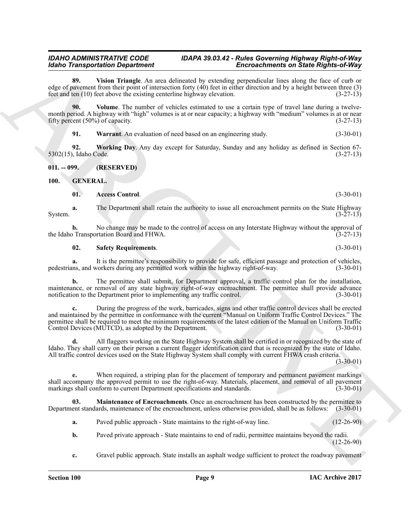<span id="page-8-2"></span>**89. Vision Triangle**. An area delineated by extending perpendicular lines along the face of curb or edge of pavement from their point of intersection forty (40) feet in either direction and by a height between three (3) feet and ten (10) feet above the existing centerline highway elevation. (3-27-13)

**90. Volume**. The number of vehicles estimated to use a certain type of travel lane during a twelvemonth period. A highway with "high" volumes is at or near capacity; a highway with "medium" volumes is at or near<br>fifty percent (50%) of capacity. (3-27-13) fifty percent  $(50\%)$  of capacity.

<span id="page-8-5"></span><span id="page-8-4"></span><span id="page-8-3"></span>**91. Warrant**. An evaluation of need based on an engineering study. (3-30-01)

**92. Working Day**. Any day except for Saturday, Sunday and any holiday as defined in Section 67- 5302(15), Idaho Code. (3-27-13)

<span id="page-8-0"></span>**011. -- 099. (RESERVED)**

<span id="page-8-1"></span>**100. GENERAL.**

<span id="page-8-7"></span><span id="page-8-6"></span>**01. Access Control**. (3-30-01)

**a.** The Department shall retain the authority to issue all encroachment permits on the State Highway (3-27-13) System. (3-27-13)

**b.** No change may be made to the control of access on any Interstate Highway without the approval of Transportation Board and FHWA.  $(3-27-13)$ the Idaho Transportation Board and FHWA.

#### <span id="page-8-9"></span>**02. Safety Requirements**. (3-30-01)

**a.** It is the permittee's responsibility to provide for safe, efficient passage and protection of vehicles, ns, and workers during any permitted work within the highway right-of-way. (3-30-01) pedestrians, and workers during any permitted work within the highway right-of-way.

**b.** The permittee shall submit, for Department approval, a traffic control plan for the installation, maintenance, or removal of any state highway right-of-way encroachment. The permittee shall provide advance notification to the Department prior to implementing any traffic control. (3-30-01) notification to the Department prior to implementing any traffic control.

**Example of the response of the control of the control of the formula control of the response of the control of the response of the response of the response of the control of the response of the control of the response o c.** During the progress of the work, barricades, signs and other traffic control devices shall be erected and maintained by the permittee in conformance with the current "Manual on Uniform Traffic Control Devices." The permittee shall be required to meet the minimum requirements of the latest edition of the Manual on Uniform Traffic Control Devices (MUTCD), as adopted by the Department. (3-30-01)

**d.** All flaggers working on the State Highway System shall be certified in or recognized by the state of Idaho. They shall carry on their person a current flagger identification card that is recognized by the state of Idaho. All traffic control devices used on the State Highway System shall comply with current FHWA crash criteria.

 $(3-30-01)$ 

**e.** When required, a striping plan for the placement of temporary and permanent pavement markings shall accompany the approved permit to use the right-of-way. Materials, placement, and removal of all pavement markings shall conform to current Department specifications and standards. (3-30-01) markings shall conform to current Department specifications and standards.

**03. Maintenance of Encroachments**. Once an encroachment has been constructed by the permittee to Department standards, maintenance of the encroachment, unless otherwise provided, shall be as follows: (3-30-01)

- <span id="page-8-8"></span>**a.** Paved public approach - State maintains to the right-of-way line. (12-26-90)
- **b.** Paved private approach State maintains to end of radii, permittee maintains beyond the radii. (12-26-90)
- **c.** Gravel public approach. State installs an asphalt wedge sufficient to protect the roadway pavement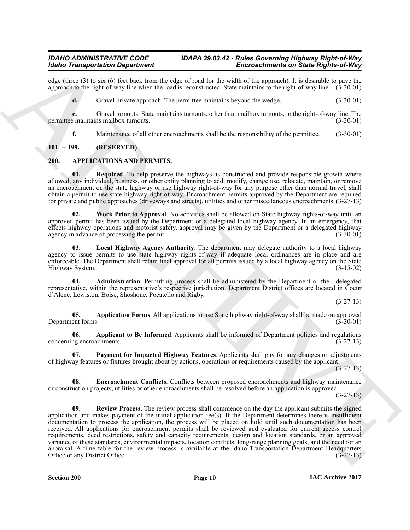edge (three (3) to six (6) feet back from the edge of road for the width of the approach). It is desirable to pave the approach to the right-of-way line when the road is reconstructed. State maintains to the right-of-way line. (3-30-01)

**d.** Gravel private approach. The permittee maintains beyond the wedge.  $(3-30-01)$ 

**e.** Gravel turnouts. State maintains turnouts, other than mailbox turnouts, to the right-of-way line. The emaintains mailbox turnouts.  $(3-30-01)$ permittee maintains mailbox turnouts.

<span id="page-9-9"></span><span id="page-9-2"></span>**f.** Maintenance of all other encroachments shall be the responsibility of the permittee.  $(3-30-01)$ 

# <span id="page-9-0"></span>**101. -- 199. (RESERVED)**

# <span id="page-9-1"></span>**200. APPLICATIONS AND PERMITS.**

**01.** Required. To help preserve the highways as constructed and provide responsible growth where allowed, any individual, business, or other entity planning to add, modify, change use, relocate, maintain, or remove an encroachment on the state highway or use highway right-of-way for any purpose other than normal travel, shall obtain a permit to use state highway right-of-way. Encroachment permits approved by the Department are required for private and public approaches (driveways and streets), utilities and other miscellaneous encroachments. (3-27-13)

<span id="page-9-11"></span>**02. Work Prior to Approval**. No activities shall be allowed on State highway rights-of-way until an approved permit has been issued by the Department or a delegated local highway agency. In an emergency, that effects highway operations and motorist safety, approval may be given by the Department or a delegated highway agency in advance of processing the permit. agency in advance of processing the permit.

<span id="page-9-7"></span>**03. Local Highway Agency Authority**. The department may delegate authority to a local highway agency to issue permits to use state highway rights-of-way if adequate local ordinances are in place and are enforceable. The Department shall retain final approval for all permits issued by a local highway agency on the State Highway System. (3-15-02) Highway System.

<span id="page-9-3"></span>**04. Administration**. Permitting process shall be administered by the Department or their delegated representative, within the representative's respective jurisdiction. Department District offices are located in Coeur d'Alene, Lewiston, Boise, Shoshone, Pocatello and Rigby.

(3-27-13)

<span id="page-9-5"></span>**05. Application Forms**. All applications to use State highway right-of-way shall be made on approved ent forms. (3-30-01) Department forms.

<span id="page-9-4"></span>**06. Applicant to Be Informed**. Applicants shall be informed of Department policies and regulations ng encroachments. (3-27-13) concerning encroachments.

<span id="page-9-8"></span>**07. Payment for Impacted Highway Features**. Applicants shall pay for any changes or adjustments of highway features or fixtures brought about by actions, operations or requirements caused by the applicant.

(3-27-13)

<span id="page-9-10"></span><span id="page-9-6"></span>**08. Encroachment Conflicts**. Conflicts between proposed encroachments and highway maintenance or construction projects, utilities or other encroachments shall be resolved before an application is approved.

(3-27-13)

More Townsportents Dependent of the skip of the line of the Reinford Construction Construction Construction (Section 2018)<br>
Also these the skip of the skip of the skip of the skip of the skip of the skip of the skip of th **09. Review Process**. The review process shall commence on the day the applicant submits the signed application and makes payment of the initial application fee(s). If the Department determines there is insufficient documentation to process the application, the process will be placed on hold until such documentation has been received. All applications for encroachment permits shall be reviewed and evaluated for current access control requirements, deed restrictions, safety and capacity requirements, design and location standards, or an approved variance of these standards, environmental impacts, location conflicts, long-range planning goals, and the need for an appraisal. A time table for the review process is available at the Idaho Transportation Department Headquarters<br>Office or any District Office. (3-27-13) Office or any District Office.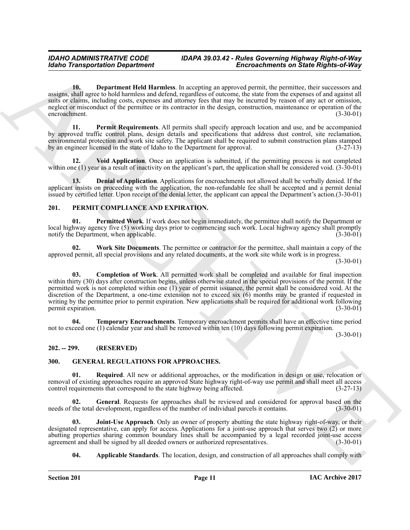<span id="page-10-4"></span>**10. Department Held Harmless**. In accepting an approved permit, the permittee, their successors and assigns, shall agree to hold harmless and defend, regardless of outcome, the state from the expenses of and against all suits or claims, including costs, expenses and attorney fees that may be incurred by reason of any act or omission, neglect or misconduct of the permittee or its contractor in the design, construction, maintenance or operation of the encroachment. (3-30-01)

<span id="page-10-5"></span>**11. Permit Requirements**. All permits shall specify approach location and use, and be accompanied by approved traffic control plans, design details and specifications that address dust control, site reclamation, environmental protection and work site safety. The applicant shall be required to submit construction plans stamped<br>by an engineer licensed in the state of Idaho to the Department for approval. (3-27-13) by an engineer licensed in the state of Idaho to the Department for approval.

<span id="page-10-6"></span>**12. Void Application**. Once an application is submitted, if the permitting process is not completed within one (1) year as a result of inactivity on the applicant's part, the application shall be considered void. (3-30-01)

<span id="page-10-3"></span>**13. Denial of Application**. Applications for encroachments not allowed shall be verbally denied. If the applicant insists on proceeding with the application, the non-refundable fee shall be accepted and a permit denial issued by certified letter. Upon receipt of the denial letter, the applicant can appeal the Department's action.(3-30-01)

# <span id="page-10-12"></span><span id="page-10-0"></span>**201. PERMIT COMPLIANCE AND EXPIRATION.**

<span id="page-10-14"></span>**01. Permitted Work**. If work does not begin immediately, the permittee shall notify the Department or local highway agency five (5) working days prior to commencing such work. Local highway agency shall promptly<br>notify the Department, when applicable. (3-30-01) notify the Department, when applicable.

<span id="page-10-16"></span><span id="page-10-13"></span>**02. Work Site Documents**. The permittee or contractor for the permittee, shall maintain a copy of the approved permit, all special provisions and any related documents, at the work site while work is in progress.

(3-30-01)

Global Transportation Department<br>
Since the control interest in accretion of the control interest in accretion of the properties of the control interest in a material of the specific control interest in a material of the **03. Completion of Work**. All permitted work shall be completed and available for final inspection within thirty (30) days after construction begins, unless otherwise stated in the special provisions of the permit. If the permitted work is not completed within one (1) year of permit issuance, the permit shall be considered void. At the discretion of the Department, a one-time extension not to exceed six (6) months may be granted if requested in writing by the permittee prior to permit expiration. New applications shall be required for additional work following<br>(3-30-01) permit expiration.

<span id="page-10-15"></span>**04. Temporary Encroachments**. Temporary encroachment permits shall have an effective time period not to exceed one (1) calendar year and shall be removed within ten (10) days following permit expiration.

(3-30-01)

# <span id="page-10-1"></span>**202. -- 299. (RESERVED)**

# <span id="page-10-7"></span><span id="page-10-2"></span>**300. GENERAL REGULATIONS FOR APPROACHES.**

<span id="page-10-11"></span>**01. Required**. All new or additional approaches, or the modification in design or use, relocation or removal of existing approaches require an approved State highway right-of-way use permit and shall meet all access control requirements that correspond to the state highway being affected. (3-27-13) control requirements that correspond to the state highway being affected.

<span id="page-10-9"></span>**02.** General. Requests for approaches shall be reviewed and considered for approval based on the the total development, regardless of the number of individual parcels it contains. (3-30-01) needs of the total development, regardless of the number of individual parcels it contains.

**Joint-Use Approach**. Only an owner of property abutting the state highway right-of-way, or their designated representative, can apply for access. Applications for a joint-use approach that serves two (2) or more abutting properties sharing common boundary lines shall be accompanied by a legal recorded joint-use access agreement and shall be signed by all deeded owners or authorized representatives. (3-30-01) agreement and shall be signed by all deeded owners or authorized representatives.

<span id="page-10-10"></span><span id="page-10-8"></span>**04. Applicable Standards**. The location, design, and construction of all approaches shall comply with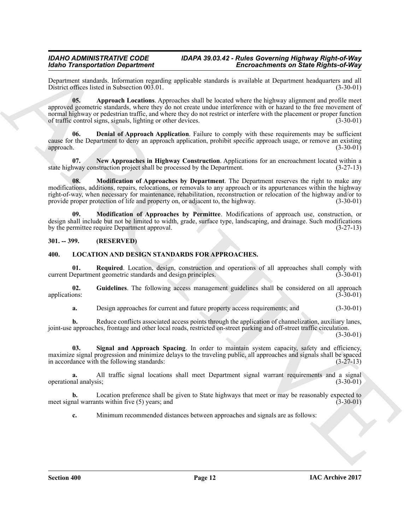Department standards. Information regarding applicable standards is available at Department headquarters and all District offices listed in Subsection  $00\overline{3}01$ .

<span id="page-11-2"></span>**05. Approach Locations**. Approaches shall be located where the highway alignment and profile meet approved geometric standards, where they do not create undue interference with or hazard to the free movement of normal highway or pedestrian traffic, and where they do not restrict or interfere with the placement or proper function<br>of traffic control signs, signals, lighting or other devices. (3-30-01) of traffic control signs, signals, lighting or other devices.

<span id="page-11-3"></span>**06. Denial of Approach Application**. Failure to comply with these requirements may be sufficient cause for the Department to deny an approach application, prohibit specific approach usage, or remove an existing approach. (3-30-01) approach. (3-30-01)

<span id="page-11-6"></span><span id="page-11-4"></span>**07.** New Approaches in Highway Construction. Applications for an encroachment located within a new construction project shall be processed by the Department. (3-27-13) state highway construction project shall be processed by the Department.

**Encore of the transportant of the state of the state of the state of the state of the state of the state of the state of the state of the state of the state of the state of the state of the state of the state of the sta 08. Modification of Approaches by Department**. The Department reserves the right to make any modifications, additions, repairs, relocations, or removals to any approach or its appurtenances within the highway right-of-way, when necessary for maintenance, rehabilitation, reconstruction or relocation of the highway and/or to provide proper protection of life and property on, or adjacent to, the highway. (3-30-01)

<span id="page-11-5"></span>**09. Modification of Approaches by Permittee**. Modifications of approach use, construction, or design shall include but not be limited to width, grade, surface type, landscaping, and drainage. Such modifications by the permittee require Department approval. (3-27-13) by the permittee require Department approval.

# <span id="page-11-0"></span>**301. -- 399. (RESERVED)**

# <span id="page-11-7"></span><span id="page-11-1"></span>**400. LOCATION AND DESIGN STANDARDS FOR APPROACHES.**

<span id="page-11-9"></span>**01.** Required. Location, design, construction and operations of all approaches shall comply with Department geometric standards and design principles. (3-30-01) current Department geometric standards and design principles.

**02.** Guidelines. The following access management guidelines shall be considered on all approach ons: (3-30-01) applications:

<span id="page-11-10"></span><span id="page-11-8"></span>**a.** Design approaches for current and future property access requirements; and  $(3-30-01)$ 

**b.** Reduce conflicts associated access points through the application of channelization, auxiliary lanes, joint-use approaches, frontage and other local roads, restricted on-street parking and off-street traffic circulation.

(3-30-01)

**03.** Signal and Approach Spacing. In order to maintain system capacity, safety and efficiency, maximize signal progression and minimize delays to the traveling public, all approaches and signals shall be spaced in accordance with the following standards: (3-27-13)

**a.** All traffic signal locations shall meet Department signal warrant requirements and a signal analysis: (3-30-01) operational analysis;

**b.** Location preference shall be given to State highways that meet or may be reasonably expected to nal warrants within five (5) years; and (3-30-01) meet signal warrants within five  $(5)$  years; and

**c.** Minimum recommended distances between approaches and signals are as follows: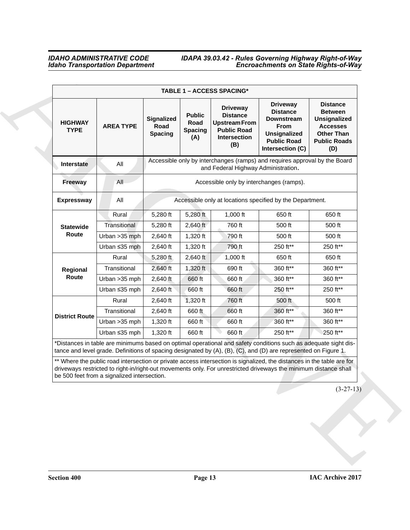# *IDAHO ADMINISTRATIVE CODE IDAPA 39.03.42 - Rules Governing Highway Right-of-Way Idaho Transportation Department Encroachments on State Rights-of-Way*

| <b>Driveway</b><br><b>Distance</b><br><b>Driveway</b><br><b>Distance</b><br><b>Between</b><br><b>Public</b><br><b>Distance</b><br><b>Signalized</b><br><b>Unsignalized</b><br><b>Downstream</b><br><b>HIGHWAY</b><br>Road<br><b>Upstream From</b><br><b>AREA TYPE</b><br>Road<br>From<br><b>Accesses</b><br><b>TYPE</b><br><b>Spacing</b><br><b>Public Road</b><br><b>Unsignalized</b><br><b>Other Than</b><br><b>Spacing</b><br>Intersection<br>(A)<br><b>Public Road</b><br><b>Public Roads</b><br>(B)<br>Intersection (C)<br>(D)<br>Accessible only by interchanges (ramps) and requires approval by the Board<br>All<br>Interstate<br>and Federal Highway Administration.<br>All<br>Accessible only by interchanges (ramps).<br><b>Freeway</b><br>Accessible only at locations specified by the Department.<br><b>Expressway</b><br>All<br>Rural<br>5,280 ft<br>5,280 ft<br>$1,000$ ft<br>650 ft<br>650 ft<br>Transitional<br>5,280 ft<br>500 ft<br>$2,640$ ft<br>760 ft<br>500 ft<br><b>Statewide</b><br>Route<br>Urban > 35 mph<br>500 ft<br>2,640 ft<br>1,320 ft<br>790 ft<br>500 ft<br>250 ft**<br>Urban ≤35 mph<br>2,640 ft<br>790 ft<br>250 ft**<br>1,320 ft<br>Rural<br>5,280 ft<br>650 ft<br>2,640 ft<br>1,000 ft<br>650 ft<br>360 ft**<br>Transitional<br>690 ft<br>360 ft**<br>$2,640$ ft<br>1,320 ft<br>Regional<br>Route<br>360 ft**<br>Urban > 35 mph<br>2,640 ft<br>660 ft<br>660 ft<br>360 ft**<br>Urban ≤35 mph<br>660 ft<br>250 ft**<br>250 ft**<br>2,640 ft<br>660 ft<br>Rural<br>1,320 ft<br>500 ft<br>2,640 ft<br>760 ft<br>500 ft<br>360 ft**<br>660 ft<br>660 ft<br>360 ft**<br>Transitional<br>2,640 ft<br><b>District Route</b><br>360 ft**<br>1,320 ft<br>660 ft<br>360 ft**<br>Urban > 35 mph<br>660 ft<br>250 ft**<br>250 ft**<br>Urban ≤35 mph<br>$1,320$ ft<br>660 ft<br>660 ft<br>*Distances in table are minimums based on optimal operational and safety conditions such as adequate sight dis- |
|-------------------------------------------------------------------------------------------------------------------------------------------------------------------------------------------------------------------------------------------------------------------------------------------------------------------------------------------------------------------------------------------------------------------------------------------------------------------------------------------------------------------------------------------------------------------------------------------------------------------------------------------------------------------------------------------------------------------------------------------------------------------------------------------------------------------------------------------------------------------------------------------------------------------------------------------------------------------------------------------------------------------------------------------------------------------------------------------------------------------------------------------------------------------------------------------------------------------------------------------------------------------------------------------------------------------------------------------------------------------------------------------------------------------------------------------------------------------------------------------------------------------------------------------------------------------------------------------------------------------------------------------------------------------------------------------------------------------------------------------------------------------------------------------------------------------------------------------------------------------------------------------------------------------------------------|
|                                                                                                                                                                                                                                                                                                                                                                                                                                                                                                                                                                                                                                                                                                                                                                                                                                                                                                                                                                                                                                                                                                                                                                                                                                                                                                                                                                                                                                                                                                                                                                                                                                                                                                                                                                                                                                                                                                                                     |
|                                                                                                                                                                                                                                                                                                                                                                                                                                                                                                                                                                                                                                                                                                                                                                                                                                                                                                                                                                                                                                                                                                                                                                                                                                                                                                                                                                                                                                                                                                                                                                                                                                                                                                                                                                                                                                                                                                                                     |
|                                                                                                                                                                                                                                                                                                                                                                                                                                                                                                                                                                                                                                                                                                                                                                                                                                                                                                                                                                                                                                                                                                                                                                                                                                                                                                                                                                                                                                                                                                                                                                                                                                                                                                                                                                                                                                                                                                                                     |
|                                                                                                                                                                                                                                                                                                                                                                                                                                                                                                                                                                                                                                                                                                                                                                                                                                                                                                                                                                                                                                                                                                                                                                                                                                                                                                                                                                                                                                                                                                                                                                                                                                                                                                                                                                                                                                                                                                                                     |
|                                                                                                                                                                                                                                                                                                                                                                                                                                                                                                                                                                                                                                                                                                                                                                                                                                                                                                                                                                                                                                                                                                                                                                                                                                                                                                                                                                                                                                                                                                                                                                                                                                                                                                                                                                                                                                                                                                                                     |
|                                                                                                                                                                                                                                                                                                                                                                                                                                                                                                                                                                                                                                                                                                                                                                                                                                                                                                                                                                                                                                                                                                                                                                                                                                                                                                                                                                                                                                                                                                                                                                                                                                                                                                                                                                                                                                                                                                                                     |
|                                                                                                                                                                                                                                                                                                                                                                                                                                                                                                                                                                                                                                                                                                                                                                                                                                                                                                                                                                                                                                                                                                                                                                                                                                                                                                                                                                                                                                                                                                                                                                                                                                                                                                                                                                                                                                                                                                                                     |
|                                                                                                                                                                                                                                                                                                                                                                                                                                                                                                                                                                                                                                                                                                                                                                                                                                                                                                                                                                                                                                                                                                                                                                                                                                                                                                                                                                                                                                                                                                                                                                                                                                                                                                                                                                                                                                                                                                                                     |
|                                                                                                                                                                                                                                                                                                                                                                                                                                                                                                                                                                                                                                                                                                                                                                                                                                                                                                                                                                                                                                                                                                                                                                                                                                                                                                                                                                                                                                                                                                                                                                                                                                                                                                                                                                                                                                                                                                                                     |
|                                                                                                                                                                                                                                                                                                                                                                                                                                                                                                                                                                                                                                                                                                                                                                                                                                                                                                                                                                                                                                                                                                                                                                                                                                                                                                                                                                                                                                                                                                                                                                                                                                                                                                                                                                                                                                                                                                                                     |
|                                                                                                                                                                                                                                                                                                                                                                                                                                                                                                                                                                                                                                                                                                                                                                                                                                                                                                                                                                                                                                                                                                                                                                                                                                                                                                                                                                                                                                                                                                                                                                                                                                                                                                                                                                                                                                                                                                                                     |
|                                                                                                                                                                                                                                                                                                                                                                                                                                                                                                                                                                                                                                                                                                                                                                                                                                                                                                                                                                                                                                                                                                                                                                                                                                                                                                                                                                                                                                                                                                                                                                                                                                                                                                                                                                                                                                                                                                                                     |
|                                                                                                                                                                                                                                                                                                                                                                                                                                                                                                                                                                                                                                                                                                                                                                                                                                                                                                                                                                                                                                                                                                                                                                                                                                                                                                                                                                                                                                                                                                                                                                                                                                                                                                                                                                                                                                                                                                                                     |
|                                                                                                                                                                                                                                                                                                                                                                                                                                                                                                                                                                                                                                                                                                                                                                                                                                                                                                                                                                                                                                                                                                                                                                                                                                                                                                                                                                                                                                                                                                                                                                                                                                                                                                                                                                                                                                                                                                                                     |
|                                                                                                                                                                                                                                                                                                                                                                                                                                                                                                                                                                                                                                                                                                                                                                                                                                                                                                                                                                                                                                                                                                                                                                                                                                                                                                                                                                                                                                                                                                                                                                                                                                                                                                                                                                                                                                                                                                                                     |
|                                                                                                                                                                                                                                                                                                                                                                                                                                                                                                                                                                                                                                                                                                                                                                                                                                                                                                                                                                                                                                                                                                                                                                                                                                                                                                                                                                                                                                                                                                                                                                                                                                                                                                                                                                                                                                                                                                                                     |
| tance and level grade. Definitions of spacing designated by (A), (B), (C), and (D) are represented on Figure 1.<br>** Where the public road intersection or private access intersection is signalized, the distances in the table are for                                                                                                                                                                                                                                                                                                                                                                                                                                                                                                                                                                                                                                                                                                                                                                                                                                                                                                                                                                                                                                                                                                                                                                                                                                                                                                                                                                                                                                                                                                                                                                                                                                                                                           |
| driveways restricted to right-in/right-out movements only. For unrestricted driveways the minimum distance shall<br>be 500 feet from a signalized intersection.                                                                                                                                                                                                                                                                                                                                                                                                                                                                                                                                                                                                                                                                                                                                                                                                                                                                                                                                                                                                                                                                                                                                                                                                                                                                                                                                                                                                                                                                                                                                                                                                                                                                                                                                                                     |
| $(3-27-13)$                                                                                                                                                                                                                                                                                                                                                                                                                                                                                                                                                                                                                                                                                                                                                                                                                                                                                                                                                                                                                                                                                                                                                                                                                                                                                                                                                                                                                                                                                                                                                                                                                                                                                                                                                                                                                                                                                                                         |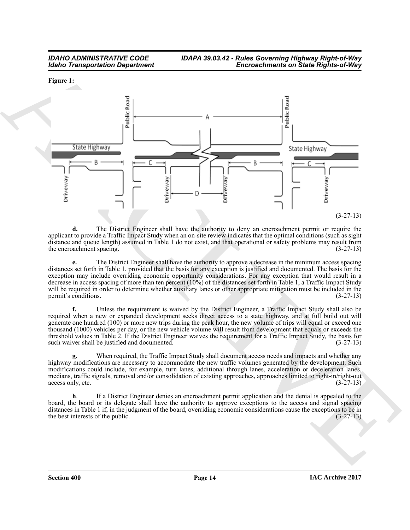<span id="page-13-0"></span>**Figure 1:**



**d.** The District Engineer shall have the authority to deny an encroachment permit or require the applicant to provide a Traffic Impact Study when an on-site review indicates that the optimal conditions (such as sight distance and queue length) assumed in Table 1 do not exist, and that operational or safety problems may result from<br>the encroachment spacing. (3-27-13) the encroachment spacing.

**e.** The District Engineer shall have the authority to approve a decrease in the minimum access spacing distances set forth in Table 1, provided that the basis for any exception is justified and documented. The basis for the exception may include overriding economic opportunity considerations. For any exception that would result in a decrease in access spacing of more than ten percent (10%) of the distances set forth in Table 1, a Traffic Impact Study will be required in order to determine whether auxiliary lanes or other appropriate mitigation must be included in the permit's conditions. (3-27-13)

**f.** Unless the requirement is waived by the District Engineer, a Traffic Impact Study shall also be required when a new or expanded development seeks direct access to a state highway, and at full build out will generate one hundred (100) or more new trips during the peak hour, the new volume of trips will equal or exceed one thousand (1000) vehicles per day, or the new vehicle volume will result from development that equals or exceeds the threshold values in Table 2. If the District Engineer waives the requirement for a Traffic Impact Study, the basis for such waiver shall be justified and documented. (3-27-13) such waiver shall be justified and documented.

**g.** When required, the Traffic Impact Study shall document access needs and impacts and whether any highway modifications are necessary to accommodate the new traffic volumes generated by the development. Such modifications could include, for example, turn lanes, additional through lanes, acceleration or deceleration lanes, medians, traffic signals, removal and/or consolidation of existing approaches, approaches limited to right-in/right-out access only, etc. (3-27-13)

**h**. If a District Engineer denies an encroachment permit application and the denial is appealed to the board, the board or its delegate shall have the authority to approve exceptions to the access and signal spacing distances in Table 1 if, in the judgment of the board, overriding economic considerations cause the exceptions to be in the best interests of the public.  $(3-27-13)$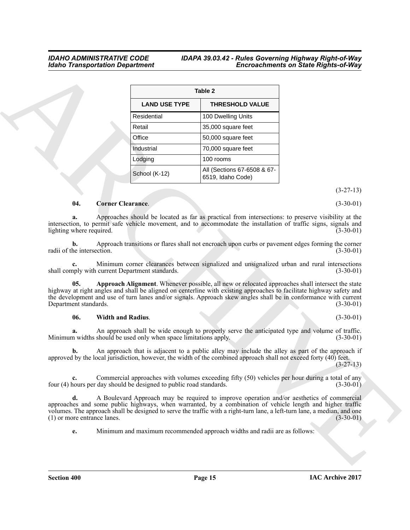#### <span id="page-14-1"></span>**a.** Approaches should be located as far as practical from intersections: to preserve visibility at the intersection, to permit safe vehicle movement, and to accommodate the installation of traffic signs, signals and lighting where required. (3-30-01) lighting where required.

# <span id="page-14-2"></span><span id="page-14-0"></span>**06. Width and Radius**. (3-30-01)

# *IDAHO ADMINISTRATIVE CODE IDAPA 39.03.42 - Rules Governing Highway Right-of-Way<br>Idaho Transportation Department Idaho Transportation Department Encroachments on State Rights-of-Way*

|                                                                                                                | Table 2                                                                                                                                                                                                                                                                                                                                     |                                                                     |                          |                                                              |
|----------------------------------------------------------------------------------------------------------------|---------------------------------------------------------------------------------------------------------------------------------------------------------------------------------------------------------------------------------------------------------------------------------------------------------------------------------------------|---------------------------------------------------------------------|--------------------------|--------------------------------------------------------------|
|                                                                                                                | <b>THRESHOLD VALUE</b>                                                                                                                                                                                                                                                                                                                      | <b>LAND USE TYPE</b>                                                |                          |                                                              |
|                                                                                                                | 100 Dwelling Units                                                                                                                                                                                                                                                                                                                          | Residential                                                         |                          |                                                              |
|                                                                                                                | 35,000 square feet                                                                                                                                                                                                                                                                                                                          | Retail                                                              |                          |                                                              |
|                                                                                                                | 50,000 square feet                                                                                                                                                                                                                                                                                                                          | Office                                                              |                          |                                                              |
|                                                                                                                | 70,000 square feet                                                                                                                                                                                                                                                                                                                          | Industrial                                                          |                          |                                                              |
|                                                                                                                | 100 rooms                                                                                                                                                                                                                                                                                                                                   | Lodging                                                             |                          |                                                              |
|                                                                                                                | All (Sections 67-6508 & 67-<br>6519, Idaho Code)                                                                                                                                                                                                                                                                                            | School (K-12)                                                       |                          |                                                              |
| $(3-27-13)$                                                                                                    |                                                                                                                                                                                                                                                                                                                                             |                                                                     |                          |                                                              |
| $(3-30-01)$                                                                                                    |                                                                                                                                                                                                                                                                                                                                             |                                                                     | <b>Corner Clearance.</b> | 04.                                                          |
| $(3-30-01)$<br>$(3-30-01)$                                                                                     | Approach transitions or flares shall not encroach upon curbs or pavement edges forming the corner                                                                                                                                                                                                                                           |                                                                     |                          | lighting where required.<br>b.<br>radii of the intersection. |
| $(3-30-01)$                                                                                                    | Minimum corner clearances between signalized and unsignalized urban and rural intersections                                                                                                                                                                                                                                                 | shall comply with current Department standards.                     |                          |                                                              |
| $(3-30-01)$                                                                                                    | Approach Alignment. Whenever possible, all new or relocated approaches shall intersect the state<br>highway at right angles and shall be aligned on centerline with existing approaches to facilitate highway safety and<br>the development and use of turn lanes and/or signals. Approach skew angles shall be in conformance with current |                                                                     |                          | 05.<br>Department standards.                                 |
| $(3-30-01)$                                                                                                    |                                                                                                                                                                                                                                                                                                                                             |                                                                     | <b>Width and Radius.</b> | 06.                                                          |
|                                                                                                                | An approach shall be wide enough to properly serve the anticipated type and volume of traffic.                                                                                                                                                                                                                                              | Minimum widths should be used only when space limitations apply.    |                          | а.                                                           |
| $(3-30-01)$                                                                                                    |                                                                                                                                                                                                                                                                                                                                             |                                                                     |                          |                                                              |
| An approach that is adjacent to a public alley may include the alley as part of the approach if<br>$(3-27-13)$ | approved by the local jurisdiction, however, the width of the combined approach shall not exceed forty (40) feet.                                                                                                                                                                                                                           |                                                                     |                          | b.                                                           |
|                                                                                                                | Commercial approaches with volumes exceeding fifty (50) vehicles per hour during a total of any                                                                                                                                                                                                                                             | four (4) hours per day should be designed to public road standards. |                          | $c_{\cdot}$                                                  |
| $(3-30-01)$<br>$(3-30-01)$                                                                                     | A Boulevard Approach may be required to improve operation and/or aesthetics of commercial<br>approaches and some public highways, when warranted, by a combination of vehicle length and higher traffic<br>volumes. The approach shall be designed to serve the traffic with a right-turn lane, a left-turn lane, a median, and one         |                                                                     |                          | d.<br>(1) or more entrance lanes.                            |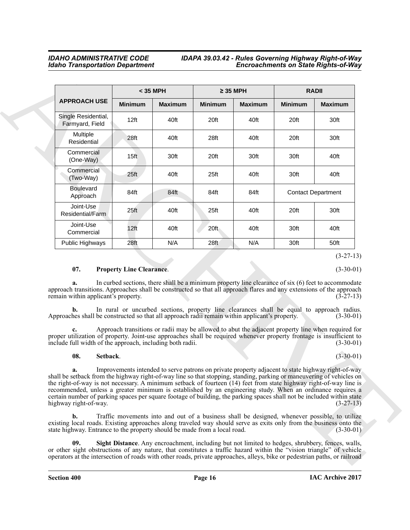|                                                                                                                                                                                                                                                                                                                                                                                                                                                                                                                    | < 35 MPH         |                                                                                                                                                                                                 |                  | $\geq$ 35 MPH  |                | <b>RADII</b>                              |  |
|--------------------------------------------------------------------------------------------------------------------------------------------------------------------------------------------------------------------------------------------------------------------------------------------------------------------------------------------------------------------------------------------------------------------------------------------------------------------------------------------------------------------|------------------|-------------------------------------------------------------------------------------------------------------------------------------------------------------------------------------------------|------------------|----------------|----------------|-------------------------------------------|--|
| <b>APPROACH USE</b>                                                                                                                                                                                                                                                                                                                                                                                                                                                                                                | <b>Minimum</b>   | <b>Maximum</b>                                                                                                                                                                                  | <b>Minimum</b>   | <b>Maximum</b> | <b>Minimum</b> | <b>Maximum</b>                            |  |
| Single Residential,<br>Farmyard, Field                                                                                                                                                                                                                                                                                                                                                                                                                                                                             | 12 <sub>ft</sub> | 40ft                                                                                                                                                                                            | 20ft             | 40ft           | 20ft           | 30ft                                      |  |
| Multiple<br>Residential                                                                                                                                                                                                                                                                                                                                                                                                                                                                                            | 28ft             | 40ft                                                                                                                                                                                            | 28ft             | 40ft           | 20ft           | 30ft                                      |  |
| Commercial<br>(One-Way)                                                                                                                                                                                                                                                                                                                                                                                                                                                                                            | 15 <sup>ft</sup> | 30ft                                                                                                                                                                                            | 20ft             | 30ft           | 30ft           | 40ft                                      |  |
| Commercial<br>(Two-Way)                                                                                                                                                                                                                                                                                                                                                                                                                                                                                            | 25 <sup>ft</sup> | 40ft                                                                                                                                                                                            | 25 <sup>ft</sup> | 40ft           | 30ft           | 40ft                                      |  |
| <b>Boulevard</b><br>Approach                                                                                                                                                                                                                                                                                                                                                                                                                                                                                       | 84ft             | 84ft                                                                                                                                                                                            | 84ft             | 84ft           |                | <b>Contact Department</b>                 |  |
| Joint-Use<br>Residential/Farm                                                                                                                                                                                                                                                                                                                                                                                                                                                                                      | 25 <sub>ft</sub> | 40ft                                                                                                                                                                                            | 25ft             | 40ft           | 20ft           | 30ft                                      |  |
| Joint-Use<br>Commercial                                                                                                                                                                                                                                                                                                                                                                                                                                                                                            | 12 <sub>ft</sub> | 40ft                                                                                                                                                                                            | 20 <sup>ft</sup> | 40ft           | 30ft           | 40ft                                      |  |
| Public Highways                                                                                                                                                                                                                                                                                                                                                                                                                                                                                                    | 28ft             | N/A                                                                                                                                                                                             | 28ft             | N/A            | 30ft           | 50ft                                      |  |
| remain within applicant's property.<br>b.<br>Approaches shall be constructed so that all approach radii remain within applicant's property.<br>proper utilization of property. Joint-use approaches shall be required whenever property frontage is insufficient to<br>include full width of the approach, including both radii.                                                                                                                                                                                   |                  | In rural or uncurbed sections, property line clearances shall be equal to approach radius.<br>Approach transitions or radii may be allowed to abut the adjacent property line when required for |                  |                |                | $(3-27-13)$<br>$(3-30-01)$<br>$(3-30-01)$ |  |
| 08.<br>Setback.                                                                                                                                                                                                                                                                                                                                                                                                                                                                                                    |                  |                                                                                                                                                                                                 |                  |                |                | $(3-30-01)$                               |  |
| a.<br>shall be setback from the highway right-of-way line so that stopping, standing, parking or maneuvering of vehicles on<br>the right-of-way is not necessary. A minimum setback of fourteen (14) feet from state highway right-of-way line is<br>recommended, unless a greater minimum is established by an engineering study. When an ordinance requires a<br>certain number of parking spaces per square footage of building, the parking spaces shall not be included within state<br>highway right-of-way. |                  | Improvements intended to serve patrons on private property adjacent to state highway right-of-way                                                                                               |                  |                |                | $(3-27-13)$                               |  |

# <span id="page-15-0"></span>**07. Property Line Clearance**. (3-30-01)

# <span id="page-15-2"></span><span id="page-15-1"></span>**08. Setback**. (3-30-01)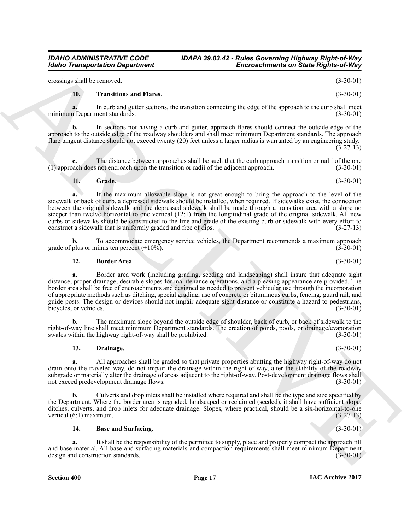crossings shall be removed. (3-30-01)

### <span id="page-16-4"></span>**10. Transitions and Flares**. (3-30-01)

**a.** In curb and gutter sections, the transition connecting the edge of the approach to the curb shall meet minimum Department standards. (3-30-01)

**b.** In sections not having a curb and gutter, approach flares should connect the outside edge of the approach to the outside edge of the roadway shoulders and shall meet minimum Department standards. The approach flare tangent distance should not exceed twenty (20) feet unless a larger radius is warranted by an engineering study.  $(3-27-13)$ 

**c.** The distance between approaches shall be such that the curb approach transition or radii of the one pach does not encroach upon the transition or radii of the adjacent approach.  $(3-30-01)$  $(1)$  approach does not encroach upon the transition or radii of the adjacent approach.

<span id="page-16-3"></span>**11. Grade**. (3-30-01)

Enconcernment and State Research in the Chinacoch interest.<br>
Since Chinacoch is the Chinacoch interest.<br>
The Transmission control of the state Research interest.<br>
The Transmission control of the state Research interest.<br> **a.** If the maximum allowable slope is not great enough to bring the approach to the level of the sidewalk or back of curb, a depressed sidewalk should be installed, when required. If sidewalks exist, the connection between the original sidewalk and the depressed sidewalk shall be made through a transition area with a slope no steeper than twelve horizontal to one vertical (12:1) from the longitudinal grade of the original sidewalk. All new curbs or sidewalks should be constructed to the line and grade of the existing curb or sidewalk with every effort to construct a sidewalk that is uniformly graded and free of dips.

To accommodate emergency service vehicles, the Department recommends a maximum approach inus ten percent  $(\pm 10\%)$ . (3-30-01) grade of plus or minus ten percent  $(\pm 10\%)$ .

<span id="page-16-1"></span>**12. Border Area**. (3-30-01)

**a.** Border area work (including grading, seeding and landscaping) shall insure that adequate sight distance, proper drainage, desirable slopes for maintenance operations, and a pleasing appearance are provided. The border area shall be free of encroachments and designed as needed to prevent vehicular use through the incorporation of appropriate methods such as ditching, special grading, use of concrete or bituminous curbs, fencing, guard rail, and guide posts. The design or devices should not impair adequate sight distance or constitute a hazard to pedestrians, bicycles, or vehicles. (3-30-01) (3-30-01)

**b.** The maximum slope beyond the outside edge of shoulder, back of curb, or back of sidewalk to the right-of-way line shall meet minimum Department standards. The creation of ponds, pools, or drainage/evaporation swales within the highway right-of-way shall be prohibited.

# <span id="page-16-2"></span>**13. Drainage**. (3-30-01)

**a.** All approaches shall be graded so that private properties abutting the highway right-of-way do not drain onto the traveled way, do not impair the drainage within the right-of-way, alter the stability of the roadway subgrade or materially alter the drainage of areas adjacent to the right-of-way. Post-development drainage flows shall<br>(3-30-01) (3-30-01) not exceed predevelopment drainage flows.

**b.** Culverts and drop inlets shall be installed where required and shall be the type and size specified by the Department. Where the border area is regraded, landscaped or reclaimed (seeded), it shall have sufficient slope, ditches, culverts, and drop inlets for adequate drainage. Slopes, where practical, should be a six-horizontal-to-one vertical (6:1) maximum. (3-27-13) vertical  $(6:1)$  maximum.

### <span id="page-16-0"></span>**14. Base and Surfacing**. (3-30-01)

**a.** It shall be the responsibility of the permittee to supply, place and properly compact the approach fill and base material. All base and surfacing materials and compaction requirements shall meet minimum Department design and construction standards. (3-30-01) design and construction standards.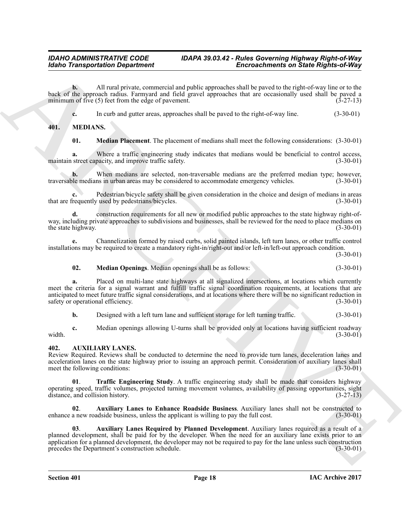**b.** All rural private, commercial and public approaches shall be paved to the right-of-way line or to the back of the approach radius. Farmyard and field gravel approaches that are occasionally used shall be paved a minimum of five  $(5)$  feet from the edge of pavement.

<span id="page-17-6"></span>**c.** In curb and gutter areas, approaches shall be paved to the right-of-way line. (3-30-01)

# <span id="page-17-0"></span>**401. MEDIANS.**

<span id="page-17-8"></span>**01. Median Placement**. The placement of medians shall meet the following considerations: (3-30-01)

**a.** Where a traffic engineering study indicates that medians would be beneficial to control access, street capacity, and improve traffic safety. (3-30-01) maintain street capacity, and improve traffic safety.

**b.** When medians are selected, non-traversable medians are the preferred median type; however, ble medians in urban areas may be considered to accommodate emergency vehicles. (3-30-01) traversable medians in urban areas may be considered to accommodate emergency vehicles.

**c.** Pedestrian/bicycle safety shall be given consideration in the choice and design of medians in areas that are frequently used by pedestrians/bicycles. (3-30-01)

**d.** construction requirements for all new or modified public approaches to the state highway right-ofway, including private approaches to subdivisions and businesses, shall be reviewed for the need to place medians on the state highway. (3-30-01) the state highway.

**e.** Channelization formed by raised curbs, solid painted islands, left turn lanes, or other traffic control installations may be required to create a mandatory right-in/right-out and/or left-in/left-out approach condition.

(3-30-01)

### <span id="page-17-7"></span>**02. Median Openings**. Median openings shall be as follows: (3-30-01)

Global Transportation Department<br>
And the method of the system and and policing second that the system of the system of the system of the system of the system of the system of the system of the system of the system of the **a.** Placed on multi-lane state highways at all signalized intersections, at locations which currently meet the criteria for a signal warrant and fulfill traffic signal coordination requirements, at locations that are anticipated to meet future traffic signal considerations, and at locations where there will be no significant reduction in safety or operational efficiency. (3-30-01)

**b.** Designed with a left turn lane and sufficient storage for left turning traffic. (3-30-01)

**c.** Median openings allowing U-turns shall be provided only at locations having sufficient roadway (3-30-01) width. (3-30-01)

# <span id="page-17-2"></span><span id="page-17-1"></span>**402. AUXILIARY LANES.**

Review Required. Reviews shall be conducted to determine the need to provide turn lanes, deceleration lanes and acceleration lanes on the state highway prior to issuing an approach permit. Consideration of auxiliary lanes shall<br>meet the following conditions: (3-30-01) meet the following conditions:

<span id="page-17-5"></span>**Traffic Engineering Study.** A traffic engineering study shall be made that considers highway operating speed, traffic volumes, projected turning movement volumes, availability of passing opportunities, sight distance, and collision history. (3-27-13)

<span id="page-17-4"></span>**02. Auxiliary Lanes to Enhance Roadside Business**. Auxiliary lanes shall not be constructed to a new roadside business, unless the applicant is willing to pay the full cost. (3-30-01) enhance a new roadside business, unless the applicant is willing to pay the full cost.

<span id="page-17-3"></span>**03**. **Auxiliary Lanes Required by Planned Development**. Auxiliary lanes required as a result of a planned development, shall be paid for by the developer. When the need for an auxiliary lane exists prior to an application for a planned development, the developer may not be required to pay for the lane unless such construction precedes the Department's construction schedule. (3-30-01) precedes the Department's construction schedule.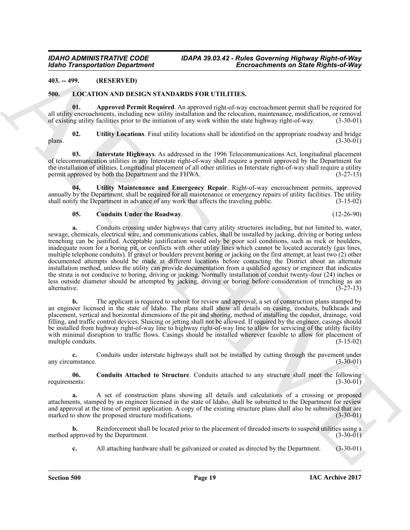# <span id="page-18-0"></span>**403. -- 499. (RESERVED)**

### <span id="page-18-2"></span><span id="page-18-1"></span>**500. LOCATION AND DESIGN STANDARDS FOR UTILITIES.**

<span id="page-18-3"></span>**01. Approved Permit Required**. An approved right-of-way encroachment permit shall be required for all utility encroachments, including new utility installation and the relocation, maintenance, modification, or removal<br>of existing utility facilities prior to the initiation of any work within the state highway right-of-w of existing utility facilities prior to the initiation of any work within the state highway right-of-way.

<span id="page-18-7"></span>**02.** Utility Locations. Final utility locations shall be identified on the appropriate roadway and bridge (3-30-01)  $\mu$  plans. (3-30-01)

<span id="page-18-6"></span>**03. Interstate Highways**. As addressed in the 1996 Telecommunications Act, longitudinal placement of telecommunication utilities in any Interstate right-of-way shall require a permit approved by the Department for the installation of utilities. Longitudinal placement of all other utilities in Interstate right-of-way shall require a utility permit approved by both the Department and the FHWA. (3-27-13)

**04. Utility Maintenance and Emergency Repair**. Right-of-way encroachment permits, approved annually by the Department, shall be required for all maintenance or emergency repairs of utility facilities. The utility shall notify the Department in advance of any work that affects the traveling public. (3-15-02)

#### <span id="page-18-8"></span><span id="page-18-5"></span>**05. Conduits Under the Roadway**. (12-26-90)

Global Transportation Department<br>
45.1. (ALEACA AND INSTIC NATUABLES OR ETHITITIES,<br>
45. (ALEACA AND INSTIC NATUABLES FOR UTILITIES,<br>
47. (ALEACA AND INSTIC NATUABLES FOR UTILITIES,<br>
47. (ALEACA AND INSTIC NATUABLES FOR U **a.** Conduits crossing under highways that carry utility structures including, but not limited to, water, sewage, chemicals, electrical wire, and communications cables, shall be installed by jacking, driving or boring unless trenching can be justified. Acceptable justification would only be poor soil conditions, such as rock or boulders, inadequate room for a boring pit, or conflicts with other utility lines which cannot be located accurately (gas lines, multiple telephone conduits). If gravel or boulders prevent boring or jacking on the first attempt, at least two (2) other documented attempts should be made at different locations before contacting the District about an alternate installation method, unless the utility can provide documentation from a qualified agency or engineer that indicates the strata is not conducive to boring, driving or jacking. Normally installation of conduit twenty-four (24) inches or less outside diameter should be attempted by jacking, driving or boring before consideration of trenching as an alternative. (3-27-13) alternative. (3-27-13)

**b.** The applicant is required to submit for review and approval, a set of construction plans stamped by an engineer licensed in the state of Idaho. The plans shall show all details on casing, conduits, bulkheads and placement, vertical and horizontal dimensions of the pit and shoring, method of installing the conduit, drainage, void filling, and traffic control devices. Sluicing or jetting shall not be allowed. If required by the engineer, casings should be installed from highway right-of-way line to highway right-of-way line to allow for servicing of the utility facility with minimal disruption to traffic flows. Casings should be installed wherever feasible to allow for placement of multiple conduits. (3-15-02) multiple conduits.

**c.** Conduits under interstate highways shall not be installed by cutting through the pavement under any circumstance. (3-30-01)

<span id="page-18-4"></span>**06.** Conduits Attached to Structure. Conduits attached to any structure shall meet the following ents: (3-30-01) requirements:

**a.** A set of construction plans showing all details and calculations of a crossing or proposed attachments, stamped by an engineer licensed in the state of Idaho, shall be submitted to the Department for review and approval at the time of permit application. A copy of the existing structure plans shall also be submitted that are marked to show the proposed structure modifications. (3-30-01) marked to show the proposed structure modifications.

**b.** Reinforcement shall be located prior to the placement of threaded inserts to suspend utilities using a method approved by the Department. (3-30-01)

**c.** All attaching hardware shall be galvanized or coated as directed by the Department. (3-30-01)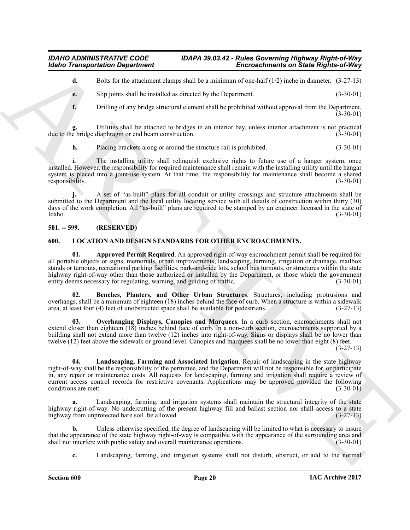**d.** Bolts for the attachment clamps shall be a minimum of one-half (1/2) inche in diameter. (3-27-13)

**e.** Slip joints shall be installed as directed by the Department. (3-30-01)

**f.** Drilling of any bridge structural element shall be prohibited without approval from the Department.  $(3-30-01)$ 

Utilities shall be attached to bridges in an interior bay, unless interior attachment is not practical diaphragm or end beam construction. (3-30-01) due to the bridge diaphragm or end beam construction.

**h.** Placing brackets along or around the structure rail is prohibited. (3-30-01)

**i.** The installing utility shall relinquish exclusive rights to future use of a hanger system, once installed. However, the responsibility for required maintenance shall remain with the installing utility until the hangar system is placed into a joint-use system. At that time, the responsibility for maintenance shall become a shared responsibility. (3-30-01)

**j.** A set of "as-built" plans for all conduit or utility crossings and structure attachments shall be submitted to the Department and the local utility locating service with all details of construction within thirty (30) days of the work completion. All "as-built" plans are required to be stamped by an engineer licensed in the state of Idaho. (3-30-01) Idaho. (3-30-01)

# <span id="page-19-0"></span>**501. -- 599. (RESERVED)**

# <span id="page-19-3"></span><span id="page-19-2"></span><span id="page-19-1"></span>**600. LOCATION AND DESIGN STANDARDS FOR OTHER ENCROACHMENTS.**

Globo Transportation Department<br>
a total interesting that the calculated signal and the state of the state of the state of the state of the state of the state of the state of the state of the state of the state of the sta **01. Approved Permit Required**. An approved right-of-way encroachment permit shall be required for all portable objects or signs, memorials, urban improvements, landscaping, farming, irrigation or drainage, mailbox stands or turnouts, recreational parking facilities, park-and-ride lots, school bus turnouts, or structures within the state highway right-of-way other than those authorized or installed by the Department, or those which the government entity deems necessary for regulating, warning, and guiding of traffic. (3-30-01)

<span id="page-19-4"></span>**02. Benches, Planters, and Other Urban Structures**. Structures, including protrusions and overhangs, shall be a minimum of eighteen (18) inches behind the face of curb. When a structure is within a sidewalk area, at least four (4) feet of unobstructed space shall be available for pedestrians. (3-27-13) area, at least four (4) feet of unobstructed space shall be available for pedestrians.

<span id="page-19-6"></span>**Overhanging Displays, Canopies and Marquees**. In a curb section, encroachments shall not extend closer than eighteen (18) inches behind face of curb. In a non-curb section, encroachments supported by a building shall not extend more than twelve (12) inches into right-of-way. Signs or displays shall be no lower than twelve (12) feet above the sidewalk or ground level. Canopies and marquees shall be no lower than eight (8) feet.  $(3-27-13)$ 

<span id="page-19-5"></span>**04. Landscaping, Farming and Associated Irrigation**. Repair of landscaping in the state highway right-of-way shall be the responsibility of the permittee, and the Department will not be responsible for, or participate in, any repair or maintenance costs. All requests for landscaping, farming and irrigation shall require a review of current access control records for restrictive covenants. Applications may be approved provided the following conditions are met: (3-30-01) conditions are met:

**a.** Landscaping, farming, and irrigation systems shall maintain the structural integrity of the state highway right-of-way. No undercutting of the present highway fill and ballast section nor shall access to a state highway from unprotected bare soil be allowed. (3-27-13) highway from unprotected bare soil be allowed.

**b.** Unless otherwise specified, the degree of landscaping will be limited to what is necessary to insure that the appearance of the state highway right-of-way is compatible with the appearance of the surrounding area and shall not interfere with public safety and overall maintenance operations. (3-30-01) shall not interfere with public safety and overall maintenance operations.

**c.** Landscaping, farming, and irrigation systems shall not disturb, obstruct, or add to the normal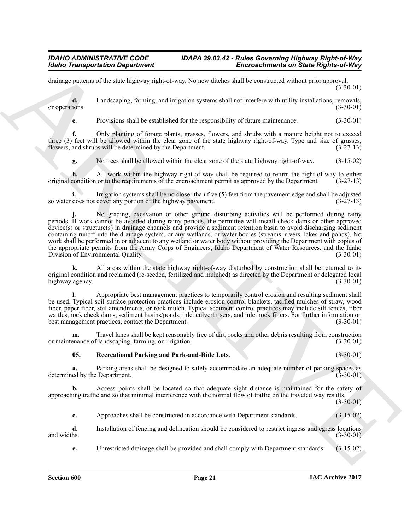drainage patterns of the state highway right-of-way. No new ditches shall be constructed without prior approval.  $(3-30-01)$ 

**d.** Landscaping, farming, and irrigation systems shall not interfere with utility installations, removals, (3-30-01) or operations.

**e.** Provisions shall be established for the responsibility of future maintenance. (3-30-01)

**f.** Only planting of forage plants, grasses, flowers, and shrubs with a mature height not to exceed three (3) feet will be allowed within the clear zone of the state highway right-of-way. Type and size of grasses, flowers, and shrubs will be determined by the Department. (3-27-13) flowers, and shrubs will be determined by the Department.

**g.** No trees shall be allowed within the clear zone of the state highway right-of-way. (3-15-02)

All work within the highway right-of-way shall be required to return the right-of-way to either or to the requirements of the encroachment permit as approved by the Department. (3-27-13) original condition or to the requirements of the encroachment permit as approved by the Department.

**i.** Irrigation systems shall be no closer than five (5) feet from the pavement edge and shall be adjusted so water does not cover any portion of the highway pavement. (3-27-13)

**Encore Change of the Change of the Change of the Change of the Change of the Change of the Change of the Change of the Change of the Change of the Change of the Change of the Change of the Change of the Change of the Ch j.** No grading, excavation or other ground disturbing activities will be performed during rainy periods. If work cannot be avoided during rainy periods, the permittee will install check dams or other approved device(s) or structure(s) in drainage channels and provide a sediment retention basin to avoid discharging sediment containing runoff into the drainage system, or any wetlands, or water bodies (streams, rivers, lakes and ponds). No work shall be performed in or adjacent to any wetland or water body without providing the Department with copies of the appropriate permits from the Army Corps of Engineers, Idaho Department of Water Resources, and the Idaho Division of Environmental Quality. (3-30-01) Division of Environmental Quality.

**k.** All areas within the state highway right-of-way disturbed by construction shall be returned to its original condition and reclaimed (re-seeded, fertilized and mulched) as directed by the Department or delegated local<br>(3-30-01) highway agency.

**l.** Appropriate best management practices to temporarily control erosion and resulting sediment shall be used. Typical soil surface protection practices include erosion control blankets, tacified mulches of straw, wood fiber, paper fiber, soil amendments, or rock mulch. Typical sediment control practices may include silt fences, fiber wattles, rock check dams, sediment basins/ponds, inlet culvert risers, and inlet rock filters. For further information on best management practices, contact the Department. (3-30-01)

**m.** Travel lanes shall be kept reasonably free of dirt, rocks and other debris resulting from construction enance of landscaping, farming, or irrigation. (3-30-01) or maintenance of landscaping, farming, or irrigation.

# <span id="page-20-0"></span>**05. Recreational Parking and Park-and-Ride Lots**. (3-30-01)

**a.** Parking areas shall be designed to safely accommodate an adequate number of parking spaces as ed by the Department. (3-30-01) determined by the Department.

**b.** Access points shall be located so that adequate sight distance is maintained for the safety of approaching traffic and so that minimal interference with the normal flow of traffic on the traveled way results.

 $(3-30-01)$ 

**c.** Approaches shall be constructed in accordance with Department standards.  $(3-15-02)$ 

**d.** Installation of fencing and delineation should be considered to restrict ingress and egress locations and widths. (3-30-01) and widths.  $(3-30-01)$ 

**e.** Unrestricted drainage shall be provided and shall comply with Department standards. (3-15-02)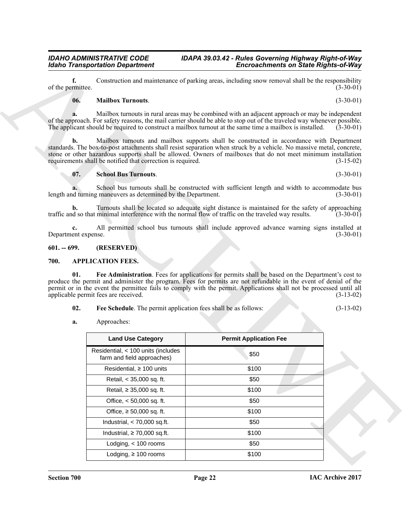# <span id="page-21-6"></span><span id="page-21-5"></span>**06. Mailbox Turnouts**. (3-30-01)

# <span id="page-21-0"></span>**601. -- 699. (RESERVED)**

# <span id="page-21-2"></span><span id="page-21-1"></span>**700. APPLICATION FEES.**

<span id="page-21-4"></span><span id="page-21-3"></span>

| 02. |  | <b>Fee Schedule.</b> The permit application fees shall be as follows: |  |  |  | $(3-13-02)$ |
|-----|--|-----------------------------------------------------------------------|--|--|--|-------------|
|-----|--|-----------------------------------------------------------------------|--|--|--|-------------|

|                           | <b>Idaho Transportation Department</b>                                                                                                                                                                                                                                                                                                            | <b>Encroachments on State Rights-of-Way</b>                                                       |                            |
|---------------------------|---------------------------------------------------------------------------------------------------------------------------------------------------------------------------------------------------------------------------------------------------------------------------------------------------------------------------------------------------|---------------------------------------------------------------------------------------------------|----------------------------|
| f.<br>of the permittee.   |                                                                                                                                                                                                                                                                                                                                                   | Construction and maintenance of parking areas, including snow removal shall be the responsibility | $(3-30-01)$                |
| 06.                       | <b>Mailbox Turnouts.</b>                                                                                                                                                                                                                                                                                                                          |                                                                                                   | $(3-30-01)$                |
|                           | of the approach. For safety reasons, the mail carrier should be able to stop out of the traveled way whenever possible.<br>The applicant should be required to construct a mailbox turnout at the same time a mailbox is installed.                                                                                                               | Mailbox turnouts in rural areas may be combined with an adjacent approach or may be independent   | $(3-30-01)$                |
| b.                        | standards. The box-to-post attachments shall resist separation when struck by a vehicle. No massive metal, concrete,<br>stone or other hazardous supports shall be allowed. Owners of mailboxes that do not meet minimum installation<br>requirements shall be notified that correction is required.                                              | Mailbox turnouts and mailbox supports shall be constructed in accordance with Department          | $(3-15-02)$                |
| 07.                       | <b>School Bus Turnouts.</b>                                                                                                                                                                                                                                                                                                                       |                                                                                                   | $(3-30-01)$                |
|                           | length and turning maneuvers as determined by the Department.                                                                                                                                                                                                                                                                                     | School bus turnouts shall be constructed with sufficient length and width to accommodate bus      | $(3-30-01)$                |
| b.                        | traffic and so that minimal interference with the normal flow of traffic on the traveled way results.                                                                                                                                                                                                                                             | Turnouts shall be located so adequate sight distance is maintained for the safety of approaching  | $(3-30-01)$                |
| c.<br>Department expense. |                                                                                                                                                                                                                                                                                                                                                   | All permitted school bus turnouts shall include approved advance warning signs installed at       | $(3-30-01)$                |
| $601. - 699.$             | (RESERVED)                                                                                                                                                                                                                                                                                                                                        |                                                                                                   |                            |
|                           |                                                                                                                                                                                                                                                                                                                                                   |                                                                                                   |                            |
| 700.<br>01.               | <b>APPLICATION FEES.</b>                                                                                                                                                                                                                                                                                                                          | Fee Administration. Fees for applications for permits shall be based on the Department's cost to  |                            |
| 02.                       | produce the permit and administer the program. Fees for permits are not refundable in the event of denial of the<br>permit or in the event the permittee fails to comply with the permit. Applications shall not be processed until all<br>applicable permit fees are received.<br>Fee Schedule. The permit application fees shall be as follows: |                                                                                                   |                            |
| a.                        | Approaches:                                                                                                                                                                                                                                                                                                                                       |                                                                                                   |                            |
|                           | <b>Land Use Category</b>                                                                                                                                                                                                                                                                                                                          | <b>Permit Application Fee</b>                                                                     | $(3-13-02)$<br>$(3-13-02)$ |
|                           | Residential, < 100 units (includes<br>farm and field approaches)                                                                                                                                                                                                                                                                                  | \$50                                                                                              |                            |
|                           | Residential, $\geq 100$ units                                                                                                                                                                                                                                                                                                                     | \$100                                                                                             |                            |
|                           | Retail, < 35,000 sq. ft.                                                                                                                                                                                                                                                                                                                          | \$50                                                                                              |                            |
|                           | Retail, ≥ 35,000 sq. ft.                                                                                                                                                                                                                                                                                                                          | \$100                                                                                             |                            |
|                           | Office, < 50,000 sq. ft.                                                                                                                                                                                                                                                                                                                          | \$50                                                                                              |                            |
|                           | Office, $\geq 50,000$ sq. ft.                                                                                                                                                                                                                                                                                                                     | \$100                                                                                             |                            |
|                           | Industrial, $< 70,000$ sq.ft.                                                                                                                                                                                                                                                                                                                     | \$50                                                                                              |                            |
|                           | Industrial, $\geq 70,000$ sq.ft.                                                                                                                                                                                                                                                                                                                  | \$100                                                                                             |                            |
|                           | Lodging, $<$ 100 rooms                                                                                                                                                                                                                                                                                                                            | \$50                                                                                              |                            |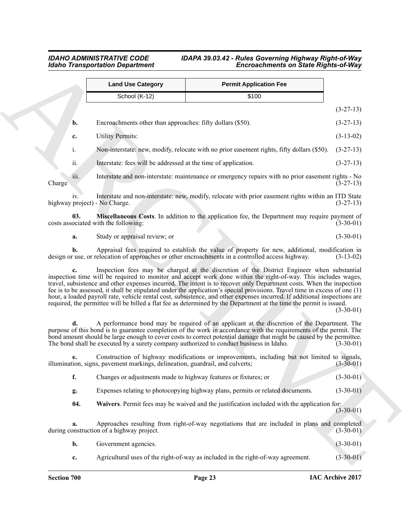<span id="page-22-0"></span>

|                | <b>Land Use Category</b>                                                                | <b>Permit Application Fee</b>                                                                                                                                                                                                                                                                                                                                                                                                                                                                                                                                                                                                                                                                                          |             |
|----------------|-----------------------------------------------------------------------------------------|------------------------------------------------------------------------------------------------------------------------------------------------------------------------------------------------------------------------------------------------------------------------------------------------------------------------------------------------------------------------------------------------------------------------------------------------------------------------------------------------------------------------------------------------------------------------------------------------------------------------------------------------------------------------------------------------------------------------|-------------|
|                | School (K-12)                                                                           | \$100                                                                                                                                                                                                                                                                                                                                                                                                                                                                                                                                                                                                                                                                                                                  |             |
|                |                                                                                         |                                                                                                                                                                                                                                                                                                                                                                                                                                                                                                                                                                                                                                                                                                                        | $(3-27-13)$ |
| b.             | Encroachments other than approaches: fifty dollars (\$50).                              |                                                                                                                                                                                                                                                                                                                                                                                                                                                                                                                                                                                                                                                                                                                        | $(3-27-13)$ |
| c.             | <b>Utility Permits:</b>                                                                 |                                                                                                                                                                                                                                                                                                                                                                                                                                                                                                                                                                                                                                                                                                                        | $(3-13-02)$ |
| $i$ .          |                                                                                         | Non-interstate: new, modify, relocate with no prior easement rights, fifty dollars (\$50).                                                                                                                                                                                                                                                                                                                                                                                                                                                                                                                                                                                                                             | $(3-27-13)$ |
| ii.            | Interstate: fees will be addressed at the time of application.                          |                                                                                                                                                                                                                                                                                                                                                                                                                                                                                                                                                                                                                                                                                                                        | $(3-27-13)$ |
| iii.<br>Charge |                                                                                         | Interstate and non-interstate: maintenance or emergency repairs with no prior easement rights - No                                                                                                                                                                                                                                                                                                                                                                                                                                                                                                                                                                                                                     | $(3-27-13)$ |
| $1V_{\rm}$     | highway project) - No Charge.                                                           | Interstate and non-interstate: new, modify, relocate with prior easement rights within an ITD State                                                                                                                                                                                                                                                                                                                                                                                                                                                                                                                                                                                                                    | $(3-27-13)$ |
| 03.            | costs associated with the following:                                                    | <b>Miscellaneous Costs</b> . In addition to the application fee, the Department may require payment of                                                                                                                                                                                                                                                                                                                                                                                                                                                                                                                                                                                                                 | $(3-30-01)$ |
| a.             | Study or appraisal review; or                                                           |                                                                                                                                                                                                                                                                                                                                                                                                                                                                                                                                                                                                                                                                                                                        | $(3-30-01)$ |
| b.             |                                                                                         | Appraisal fees required to establish the value of property for new, additional, modification in<br>design or use, or relocation of approaches or other encroachments in a controlled access highway.                                                                                                                                                                                                                                                                                                                                                                                                                                                                                                                   | $(3-13-02)$ |
| c.             |                                                                                         | Inspection fees may be charged at the discretion of the District Engineer when substantial<br>inspection time will be required to monitor and accept work done within the right-of-way. This includes wages,<br>travel, subsistence and other expenses incurred. The intent is to recover only Department costs. When the inspection<br>fee is to be assessed, it shall be stipulated under the application's special provisions. Travel time in excess of one (1)<br>hour, a loaded payroll rate, vehicle rental cost, subsistence, and other expenses incurred. If additional inspections are<br>required, the permittee will be billed a flat fee as determined by the Department at the time the permit is issued. | $(3-30-01)$ |
| d.             | The bond shall be executed by a surety company authorized to conduct business in Idaho. | A performance bond may be required of an applicant at the discretion of the Department. The<br>purpose of this bond is to guarantee completion of the work in accordance with the requirements of the permit. The<br>bond amount should be large enough to cover costs to correct potential damage that might be caused by the permittee.                                                                                                                                                                                                                                                                                                                                                                              | $(3-30-01)$ |
| e.             | illumination, signs, pavement markings, delineation, guardrail, and culverts;           | Construction of highway modifications or improvements, including but not limited to signals,                                                                                                                                                                                                                                                                                                                                                                                                                                                                                                                                                                                                                           | $(3-30-01)$ |
| f.             | Changes or adjustments made to highway features or fixtures; or                         |                                                                                                                                                                                                                                                                                                                                                                                                                                                                                                                                                                                                                                                                                                                        | $(3-30-01)$ |
| g.             |                                                                                         | Expenses relating to photocopying highway plans, permits or related documents.                                                                                                                                                                                                                                                                                                                                                                                                                                                                                                                                                                                                                                         | $(3-30-01)$ |
| 04.            |                                                                                         | Waivers. Permit fees may be waived and the justification included with the application for:                                                                                                                                                                                                                                                                                                                                                                                                                                                                                                                                                                                                                            | $(3-30-01)$ |
| a.             | during construction of a highway project.                                               | Approaches resulting from right-of-way negotiations that are included in plans and completed                                                                                                                                                                                                                                                                                                                                                                                                                                                                                                                                                                                                                           | $(3-30-01)$ |
| b.             | Government agencies.                                                                    |                                                                                                                                                                                                                                                                                                                                                                                                                                                                                                                                                                                                                                                                                                                        | $(3-30-01)$ |
|                |                                                                                         |                                                                                                                                                                                                                                                                                                                                                                                                                                                                                                                                                                                                                                                                                                                        |             |

<span id="page-22-1"></span>

| b. | Government agencies. |  | $(3-30-01)$ |
|----|----------------------|--|-------------|
|----|----------------------|--|-------------|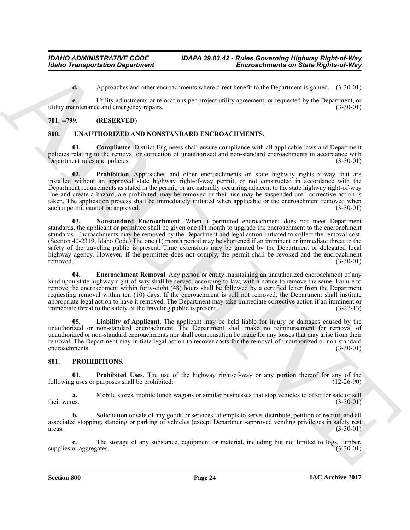**d.** Approaches and other encroachments where direct benefit to the Department is gained. (3-30-01)

**e.** Utility adjustments or relocations per project utility agreement, or requested by the Department, or utility maintenance and emergency repairs. (3-30-01)

# <span id="page-23-5"></span><span id="page-23-0"></span>**701. --799. (RESERVED)**

# <span id="page-23-1"></span>**800. UNAUTHORIZED AND NONSTANDARD ENCROACHMENTS.**

<span id="page-23-6"></span>**01. Compliance**. District Engineers shall ensure compliance with all applicable laws and Department policies relating to the removal or correction of unauthorized and non-standard encroachments in accordance with<br>Department rules and policies. (3-30-01) Department rules and policies.

<span id="page-23-10"></span><span id="page-23-9"></span>**02. Prohibition**. Approaches and other encroachments on state highway rights-of-way that are installed without an approved state highway right-of-way permit, or not constructed in accordance with the Department requirements as stated in the permit, or are naturally occurring adjacent to the state highway right-of-way line and create a hazard, are prohibited, may be removed or their use may be suspended until corrective action is taken. The application process shall be immediately initiated when applicable or the encroachment removed when such a permit cannot be approved. (3-30-01) such a permit cannot be approved.

Global Transportation Department<br>
4. Archives the state consistent is shown that the the transportation of the State Register of the State Register of the State Register of the State Register of the State Register of the **03. Nonstandard Encroachment**. When a permitted encroachment does not meet Department standards, the applicant or permittee shall be given one (1) month to upgrade the encroachment to the encroachment standards. Encroachments may be removed by the Department and legal action initiated to collect the removal cost. (Section 40-2319, Idaho Code) The one (1) month period may be shortened if an imminent or immediate threat to the safety of the traveling public is present. Time extensions may be granted by the Department or delegated local highway agency. However, if the permittee does not comply, the permit shall be revoked and the encroachment removed. (3-30-01) removed.  $(3-30-01)$ 

<span id="page-23-7"></span>**04. Encroachment Removal**. Any person or entity maintaining an unauthorized encroachment of any kind upon state highway right-of-way shall be served, according to law, with a notice to remove the same. Failure to remove the encroachment within forty-eight (48) hours shall be followed by a certified letter from the Department requesting removal within ten (10) days. If the encroachment is still not removed, the Department shall institute appropriate legal action to have it removed. The Department may take immediate corrective action if an imminent or immediate threat to the safety of the traveling public is present.  $(3-27-13)$ immediate threat to the safety of the traveling public is present.

<span id="page-23-8"></span>**05. Liability of Applicant**. The applicant may be held liable for injury or damages caused by the unauthorized or non-standard encroachment. The Department shall make no reimbursement for removal of unauthorized or non-standard encroachments nor shall compensation be made for any losses that may arise from their removal. The Department may initiate legal action to recover costs for the removal of unauthorized or non-standard encroachments. encroachments.

### <span id="page-23-3"></span><span id="page-23-2"></span>**801. PROHIBITIONS.**

<span id="page-23-4"></span>**01. Prohibited Uses**. The use of the highway right-of-way or any portion thereof for any of the guses or purposes shall be prohibited: (12-26-90) following uses or purposes shall be prohibited:

**a.** Mobile stores, mobile lunch wagons or similar businesses that stop vehicles to offer for sale or sell their wares. (3-30-01) their wares.  $(3-30-01)$ 

**b.** Solicitation or sale of any goods or services, attempts to serve, distribute, petition or recruit, and all associated stopping, standing or parking of vehicles (except Department-approved vending privileges in safety rest areas. (3-30-01)  $\frac{1}{3}$  areas. (3-30-01)

**c.** The storage of any substance, equipment or material, including but not limited to logs, lumber, or aggregates. (3-30-01) supplies or aggregates.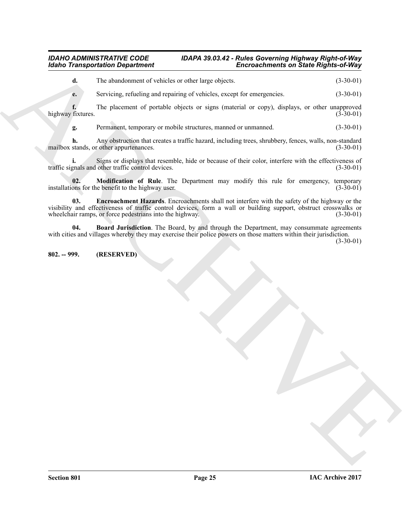**d.** The abandonment of vehicles or other large objects. (3-30-01)

**e.** Servicing, refueling and repairing of vehicles, except for emergencies.  $(3-30-01)$ 

**f.** The placement of portable objects or signs (material or copy), displays, or other unapproved fixtures. (3-30-01) highway fixtures.

**g.** Permanent, temporary or mobile structures, manned or unmanned. (3-30-01)

**h.** Any obstruction that creates a traffic hazard, including trees, shrubbery, fences, walls, non-standard stands, or other appurtenances. (3-30-01) mailbox stands, or other appurtenances.

**i.** Signs or displays that resemble, hide or because of their color, interfere with the effectiveness of gnals and other traffic control devices. (3-30-01) traffic signals and other traffic control devices.

<span id="page-24-3"></span><span id="page-24-2"></span>**02. Modification of Rule**. The Department may modify this rule for emergency, temporary ons for the benefit to the highway user. (3-30-01) installations for the benefit to the highway user.

Global Transportation Department<br>
a the statutional techniques of velocity, except for energies (3) 236-12<br>
(a) Service reduce and particle objects, except for energies (3) (4) 30-12<br>
(a) Service reduce the space of polic **03. Encroachment Hazards**. Encroachments shall not interfere with the safety of the highway or the visibility and effectiveness of traffic control devices, form a wall or building support, obstruct crosswalks or wheelchair ramps, or force pedestrians into the highway. (3-30-01) wheelchair ramps, or force pedestrians into the highway.

<span id="page-24-1"></span>**04. Board Jurisdiction**. The Board, by and through the Department, may consummate agreements with cities and villages whereby they may exercise their police powers on those matters within their jurisdiction.

(3-30-01)

# <span id="page-24-0"></span>**802. -- 999. (RESERVED)**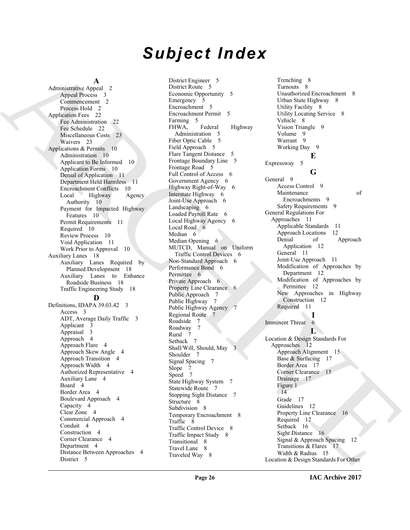# *Subject Index*

**A**

Administrative Appeal 2 Appeal Process 3 Commencement 2 Process Hold 2 Application Fees 22 Fee Administration 22 Fee Schedule 22 Miscellaneous Costs 23 Waivers 23 Applications & Permits 10 Administration 10 Applicant to Be Informed 10 Application Forms 10 Denial of Application 11 Department Held Harmless 11 Encroachment Conflicts 10 Local Highway Agency Authority 10 Payment for Impacted Highway Features 10 Permit Requirements 11 Required 10 Review Process 10 Void Application 11 Work Prior to Approval 10 Auxiliary Lanes 18 Auxiliary Lanes Required by Planned Development 18 Auxiliary Lanes to Enhance Roadside Business 18 Traffic Engineering Study 18 **D** Definitions, IDAPA 39.03.42 3 Access 3 ADT, Average Daily Traffic 3 Applicant 3 Appraisal 3 Approach 4 Approach Flare 4 Approach Skew Angle 4 Approach Transition 4 Approach Width 4 Authorized Representative 4 Auxiliary Lane 4 Board 4 Border Area 4 Boulevard Approach 4 Capacity 4

Clear Zone 4 Commercial Approach 4 Conduit 4 Construction 4 Corner Clearance 4 Department 4 Distance Between Approaches 4

District 5

District Engineer 5 District Route 5 Economic Opportunity 5 Emergency 5 Encroachment 5 Encroachment Permit 5 Farming 5 FHWA, Federal Highway Administration 5 Fiber Optic Cable 5 Field Approach 5 Flare Tangent Distance 5 Frontage Boundary Line 5 Frontage Road 5 Full Control of Access 6 Government Agency 6 Highway Right-of-Way 6 Interstate Highway 6 Joint-Use Approach 6 Landscaping 6 Loaded Payroll Rate 6 Local Highway Agency 6 Local Road 6 Median 6 Median Opening 6 MUTCD, Manual on Uniform Traffic Control Devices 6 Non-Standard Approach 6 Performance Bond 6 Permittee 6 Private Approach 6 Property Line Clearance 6 Public Approach 7 Public Highway 7 Public Highway Agency 7 Regional Route 7 Roadside 7 Roadway 7 Rural 7 Setback 7 Shall/Will, Should, May 3 Shoulder 7 Signal Spacing 7 Slope 7 Speed 7 State Highway System 7 Statewide Route 7 Stopping Sight Distance 7 Structure 8 Subdivision 8 Temporary Encroachment 8 Traffic 8 Traffic Control Device 8 Traffic Impact Study 8 Transitional 8 Travel Lane 8 Traveled Way 8

[A](#page-1-5)dministration And 2 (are the space of the space of the space of the space of the space of the space of the space of the space of the space of the space of the space of the space of the space of the space of the space of Trenching 8 Turnouts 8 Unauthorized Encroachment 8 Urban State Highway 8 Utility Facility 8 Utility Locating Service 8 Vehicle 8 Vision Triangle 9 Volume 9 Warrant 9 Working Day 9 **E** Expressway 5 **G** General 9 Access Control 9 Maintenance of Encroachments 9 Safety Requirements 9 General Regulations For Approaches 11 Applicable Standards 11 Approach Locations 12<br>Denial of Approach Application 12 General 11 Joint-Use Approach 11 Modification of Approaches by Department 12 Modification of Approaches by Permittee 12 New Approaches in Highway Construction 12 Required 11 **I** Imminent Threat 6 **L** Location & Design Standards For Approaches 12 Approach Alignment 15 Base & Surfacing 17 Border Area 17 Corner Clearance 15 Drainage 17 Figure 1 14 Grade 17 Guidelines 12 Property Line Clearance 16 Required 12 Setback 16 Sight Distance 16 Signal & Approach Spacing 12 Transitions & Flares 17 Width & Radius 15 Location & Design Standards For Other